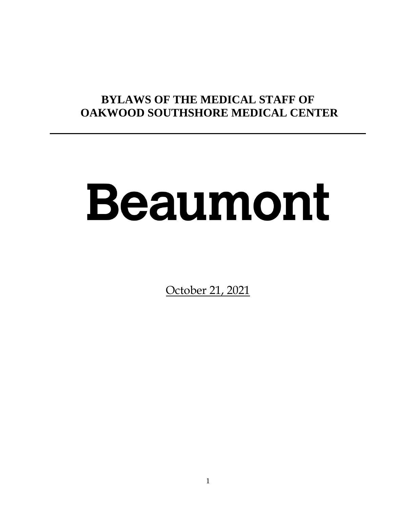# **BYLAWS OF THE MEDICAL STAFF OF OAKWOOD SOUTHSHORE MEDICAL CENTER**

# Beaumont

October 21, 2021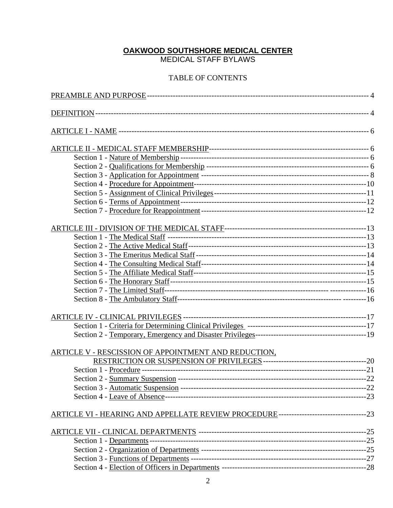#### **OAKWOOD SOUTHSHORE MEDICAL CENTER**

MEDICAL STAFF BYLAWS

### TABLE OF CONTENTS

| ARTICLE V - RESCISSION OF APPOINTMENT AND REDUCTION,                                   |  |
|----------------------------------------------------------------------------------------|--|
|                                                                                        |  |
|                                                                                        |  |
|                                                                                        |  |
|                                                                                        |  |
|                                                                                        |  |
| ARTICLE VI - HEARING AND APPELLATE REVIEW PROCEDURE---------------------------------23 |  |
|                                                                                        |  |
|                                                                                        |  |
|                                                                                        |  |
|                                                                                        |  |
|                                                                                        |  |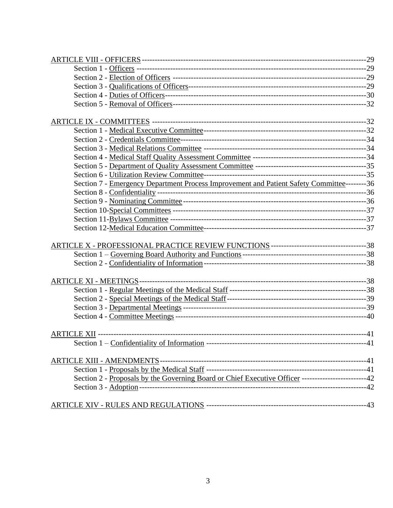| Section 7 - Emergency Department Process Improvement and Patient Safety Committee-------- 36       |  |
|----------------------------------------------------------------------------------------------------|--|
|                                                                                                    |  |
|                                                                                                    |  |
|                                                                                                    |  |
|                                                                                                    |  |
|                                                                                                    |  |
|                                                                                                    |  |
|                                                                                                    |  |
|                                                                                                    |  |
|                                                                                                    |  |
|                                                                                                    |  |
|                                                                                                    |  |
|                                                                                                    |  |
|                                                                                                    |  |
|                                                                                                    |  |
|                                                                                                    |  |
|                                                                                                    |  |
|                                                                                                    |  |
| Section 2 - Proposals by the Governing Board or Chief Executive Officer ------------------------42 |  |
|                                                                                                    |  |
|                                                                                                    |  |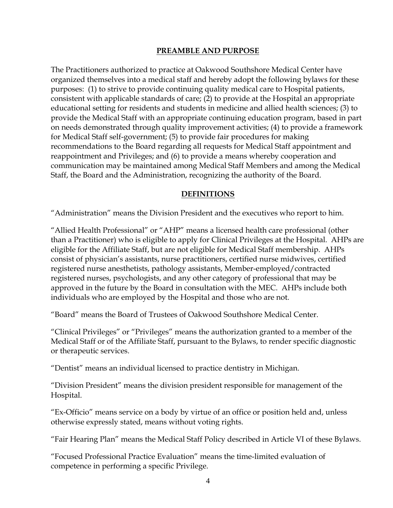#### **PREAMBLE AND PURPOSE**

The Practitioners authorized to practice at Oakwood Southshore Medical Center have organized themselves into a medical staff and hereby adopt the following bylaws for these purposes: (1) to strive to provide continuing quality medical care to Hospital patients, consistent with applicable standards of care; (2) to provide at the Hospital an appropriate educational setting for residents and students in medicine and allied health sciences; (3) to provide the Medical Staff with an appropriate continuing education program, based in part on needs demonstrated through quality improvement activities; (4) to provide a framework for Medical Staff self-government; (5) to provide fair procedures for making recommendations to the Board regarding all requests for Medical Staff appointment and reappointment and Privileges; and (6) to provide a means whereby cooperation and communication may be maintained among Medical Staff Members and among the Medical Staff, the Board and the Administration, recognizing the authority of the Board.

#### **DEFINITIONS**

"Administration" means the Division President and the executives who report to him.

"Allied Health Professional" or "AHP" means a licensed health care professional (other than a Practitioner) who is eligible to apply for Clinical Privileges at the Hospital. AHPs are eligible for the Affiliate Staff, but are not eligible for Medical Staff membership. AHPs consist of physician's assistants, nurse practitioners, certified nurse midwives, certified registered nurse anesthetists, pathology assistants, Member-employed/contracted registered nurses, psychologists, and any other category of professional that may be approved in the future by the Board in consultation with the MEC. AHPs include both individuals who are employed by the Hospital and those who are not.

"Board" means the Board of Trustees of Oakwood Southshore Medical Center.

"Clinical Privileges" or "Privileges" means the authorization granted to a member of the Medical Staff or of the Affiliate Staff, pursuant to the Bylaws, to render specific diagnostic or therapeutic services.

"Dentist" means an individual licensed to practice dentistry in Michigan.

"Division President" means the division president responsible for management of the Hospital.

"Ex-Officio" means service on a body by virtue of an office or position held and, unless otherwise expressly stated, means without voting rights.

"Fair Hearing Plan" means the Medical Staff Policy described in Article VI of these Bylaws.

"Focused Professional Practice Evaluation" means the time-limited evaluation of competence in performing a specific Privilege.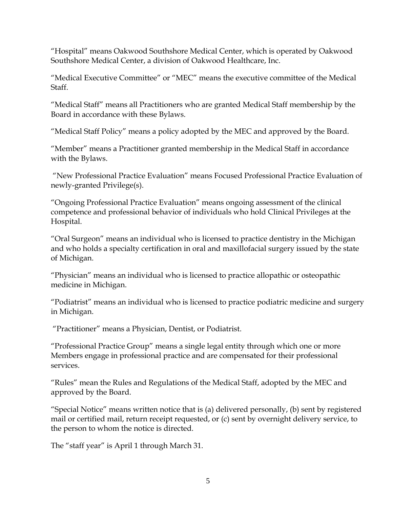"Hospital" means Oakwood Southshore Medical Center, which is operated by Oakwood Southshore Medical Center, a division of Oakwood Healthcare, Inc.

"Medical Executive Committee" or "MEC" means the executive committee of the Medical Staff.

"Medical Staff" means all Practitioners who are granted Medical Staff membership by the Board in accordance with these Bylaws.

"Medical Staff Policy" means a policy adopted by the MEC and approved by the Board.

"Member" means a Practitioner granted membership in the Medical Staff in accordance with the Bylaws.

"New Professional Practice Evaluation" means Focused Professional Practice Evaluation of newly-granted Privilege(s).

"Ongoing Professional Practice Evaluation" means ongoing assessment of the clinical competence and professional behavior of individuals who hold Clinical Privileges at the Hospital.

"Oral Surgeon" means an individual who is licensed to practice dentistry in the Michigan and who holds a specialty certification in oral and maxillofacial surgery issued by the state of Michigan.

"Physician" means an individual who is licensed to practice allopathic or osteopathic medicine in Michigan.

"Podiatrist" means an individual who is licensed to practice podiatric medicine and surgery in Michigan.

"Practitioner" means a Physician, Dentist, or Podiatrist.

"Professional Practice Group" means a single legal entity through which one or more Members engage in professional practice and are compensated for their professional services.

"Rules" mean the Rules and Regulations of the Medical Staff, adopted by the MEC and approved by the Board.

"Special Notice" means written notice that is (a) delivered personally, (b) sent by registered mail or certified mail, return receipt requested, or (c) sent by overnight delivery service, to the person to whom the notice is directed.

The "staff year" is April 1 through March 31.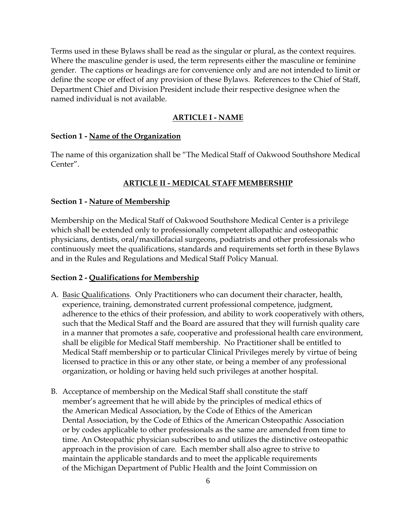Terms used in these Bylaws shall be read as the singular or plural, as the context requires. Where the masculine gender is used, the term represents either the masculine or feminine gender. The captions or headings are for convenience only and are not intended to limit or define the scope or effect of any provision of these Bylaws. References to the Chief of Staff, Department Chief and Division President include their respective designee when the named individual is not available.

# **ARTICLE I - NAME**

#### **Section 1 - Name of the Organization**

The name of this organization shall be "The Medical Staff of Oakwood Southshore Medical Center".

# **ARTICLE II - MEDICAL STAFF MEMBERSHIP**

# **Section 1 - Nature of Membership**

Membership on the Medical Staff of Oakwood Southshore Medical Center is a privilege which shall be extended only to professionally competent allopathic and osteopathic physicians, dentists, oral/maxillofacial surgeons, podiatrists and other professionals who continuously meet the qualifications, standards and requirements set forth in these Bylaws and in the Rules and Regulations and Medical Staff Policy Manual.

# **Section 2 - Qualifications for Membership**

- A. Basic Qualifications. Only Practitioners who can document their character, health, experience, training, demonstrated current professional competence, judgment, adherence to the ethics of their profession, and ability to work cooperatively with others, such that the Medical Staff and the Board are assured that they will furnish quality care in a manner that promotes a safe, cooperative and professional health care environment, shall be eligible for Medical Staff membership. No Practitioner shall be entitled to Medical Staff membership or to particular Clinical Privileges merely by virtue of being licensed to practice in this or any other state, or being a member of any professional organization, or holding or having held such privileges at another hospital.
- B. Acceptance of membership on the Medical Staff shall constitute the staff member's agreement that he will abide by the principles of medical ethics of the American Medical Association, by the Code of Ethics of the American Dental Association, by the Code of Ethics of the American Osteopathic Association or by codes applicable to other professionals as the same are amended from time to time. An Osteopathic physician subscribes to and utilizes the distinctive osteopathic approach in the provision of care. Each member shall also agree to strive to maintain the applicable standards and to meet the applicable requirements of the Michigan Department of Public Health and the Joint Commission on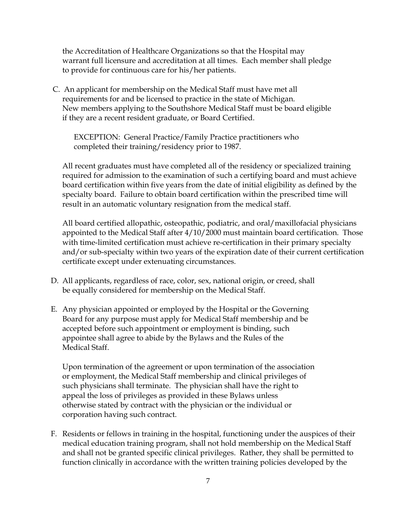the Accreditation of Healthcare Organizations so that the Hospital may warrant full licensure and accreditation at all times. Each member shall pledge to provide for continuous care for his/her patients.

C. An applicant for membership on the Medical Staff must have met all requirements for and be licensed to practice in the state of Michigan. New members applying to the Southshore Medical Staff must be board eligible if they are a recent resident graduate, or Board Certified.

EXCEPTION: General Practice/Family Practice practitioners who completed their training/residency prior to 1987.

All recent graduates must have completed all of the residency or specialized training required for admission to the examination of such a certifying board and must achieve board certification within five years from the date of initial eligibility as defined by the specialty board. Failure to obtain board certification within the prescribed time will result in an automatic voluntary resignation from the medical staff.

All board certified allopathic, osteopathic, podiatric, and oral/maxillofacial physicians appointed to the Medical Staff after 4/10/2000 must maintain board certification. Those with time-limited certification must achieve re-certification in their primary specialty and/or sub-specialty within two years of the expiration date of their current certification certificate except under extenuating circumstances.

- D. All applicants, regardless of race, color, sex, national origin, or creed, shall be equally considered for membership on the Medical Staff.
- E. Any physician appointed or employed by the Hospital or the Governing Board for any purpose must apply for Medical Staff membership and be accepted before such appointment or employment is binding, such appointee shall agree to abide by the Bylaws and the Rules of the Medical Staff.

 Upon termination of the agreement or upon termination of the association or employment, the Medical Staff membership and clinical privileges of such physicians shall terminate. The physician shall have the right to appeal the loss of privileges as provided in these Bylaws unless otherwise stated by contract with the physician or the individual or corporation having such contract.

F. Residents or fellows in training in the hospital, functioning under the auspices of their medical education training program, shall not hold membership on the Medical Staff and shall not be granted specific clinical privileges. Rather, they shall be permitted to function clinically in accordance with the written training policies developed by the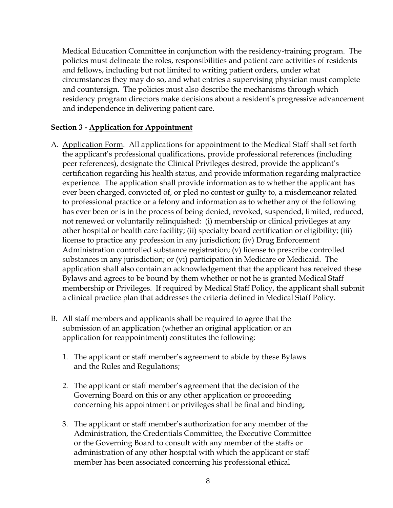Medical Education Committee in conjunction with the residency-training program. The policies must delineate the roles, responsibilities and patient care activities of residents and fellows, including but not limited to writing patient orders, under what circumstances they may do so, and what entries a supervising physician must complete and countersign. The policies must also describe the mechanisms through which residency program directors make decisions about a resident's progressive advancement and independence in delivering patient care.

#### **Section 3 - Application for Appointment**

- A. Application Form. All applications for appointment to the Medical Staff shall set forth the applicant's professional qualifications, provide professional references (including peer references), designate the Clinical Privileges desired, provide the applicant's certification regarding his health status, and provide information regarding malpractice experience. The application shall provide information as to whether the applicant has ever been charged, convicted of, or pled no contest or guilty to, a misdemeanor related to professional practice or a felony and information as to whether any of the following has ever been or is in the process of being denied, revoked, suspended, limited, reduced, not renewed or voluntarily relinquished: (i) membership or clinical privileges at any other hospital or health care facility; (ii) specialty board certification or eligibility; (iii) license to practice any profession in any jurisdiction; (iv) Drug Enforcement Administration controlled substance registration; (v) license to prescribe controlled substances in any jurisdiction; or (vi) participation in Medicare or Medicaid. The application shall also contain an acknowledgement that the applicant has received these Bylaws and agrees to be bound by them whether or not he is granted Medical Staff membership or Privileges. If required by Medical Staff Policy, the applicant shall submit a clinical practice plan that addresses the criteria defined in Medical Staff Policy.
- B. All staff members and applicants shall be required to agree that the submission of an application (whether an original application or an application for reappointment) constitutes the following:
	- 1. The applicant or staff member's agreement to abide by these Bylaws and the Rules and Regulations;
	- 2. The applicant or staff member's agreement that the decision of the Governing Board on this or any other application or proceeding concerning his appointment or privileges shall be final and binding;
	- 3. The applicant or staff member's authorization for any member of the Administration, the Credentials Committee, the Executive Committee or the Governing Board to consult with any member of the staffs or administration of any other hospital with which the applicant or staff member has been associated concerning his professional ethical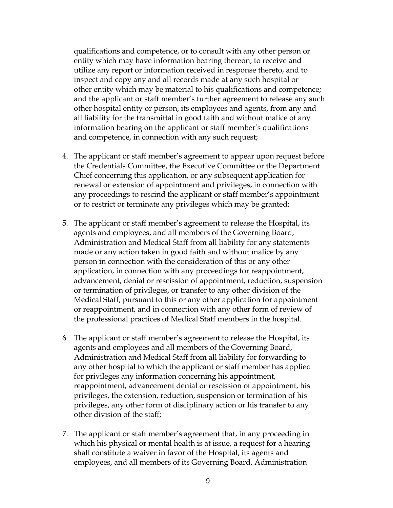qualifications and competence, or to consult with any other person or entity which may have information bearing thereon, to receive and utilize any report or information received in response thereto, and to inspect and copy any and all records made at any such hospital or other entity which may be material to his qualifications and competence; and the applicant or staff member's further agreement to release any such other hospital entity or person, its employees and agents, from any and all liability for the transmittal in good faith and without malice of any information bearing on the applicant or staff member's qualifications and competence, in connection with any such request;

- 4. The applicant or staff member's agreement to appear upon request before the Credentials Committee, the Executive Committee or the Department Chief concerning this application, or any subsequent application for renewal or extension of appointment and privileges, in connection with any proceedings to rescind the applicant or staff member's appointment or to restrict or terminate any privileges which may be granted;
- 5. The applicant or staff member's agreement to release the Hospital, its agents and employees, and all members of the Governing Board, Administration and Medical Staff from all liability for any statements made or any action taken in good faith and without malice by any person in connection with the consideration of this or any other application, in connection with any proceedings for reappointment, advancement, denial or rescission of appointment, reduction, suspension or termination of privileges, or transfer to any other division of the Medical Staff, pursuant to this or any other application for appointment or reappointment, and in connection with any other form of review of the professional practices of Medical Staff members in the hospital.
- 6. The applicant or staff member's agreement to release the Hospital, its agents and employees and all members of the Governing Board, Administration and Medical Staff from all liability for forwarding to any other hospital to which the applicant or staff member has applied for privileges any information concerning his appointment, reappointment, advancement denial or rescission of appointment, his privileges, the extension, reduction, suspension or termination of his privileges, any other form of disciplinary action or his transfer to any other division of the staff;
- 7. The applicant or staff member's agreement that, in any proceeding in which his physical or mental health is at issue, a request for a hearing shall constitute a waiver in favor of the Hospital, its agents and employees, and all members of its Governing Board, Administration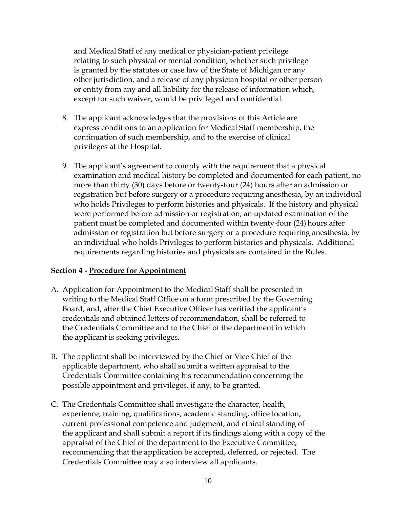and Medical Staff of any medical or physician-patient privilege relating to such physical or mental condition, whether such privilege is granted by the statutes or case law of the State of Michigan or any other jurisdiction, and a release of any physician hospital or other person or entity from any and all liability for the release of information which, except for such waiver, would be privileged and confidential.

- 8. The applicant acknowledges that the provisions of this Article are express conditions to an application for Medical Staff membership, the continuation of such membership, and to the exercise of clinical privileges at the Hospital.
- 9. The applicant's agreement to comply with the requirement that a physical examination and medical history be completed and documented for each patient, no more than thirty (30) days before or twenty-four (24) hours after an admission or registration but before surgery or a procedure requiring anesthesia, by an individual who holds Privileges to perform histories and physicals. If the history and physical were performed before admission or registration, an updated examination of the patient must be completed and documented within twenty-four (24) hours after admission or registration but before surgery or a procedure requiring anesthesia, by an individual who holds Privileges to perform histories and physicals. Additional requirements regarding histories and physicals are contained in the Rules.

#### **Section 4 - Procedure for Appointment**

- A. Application for Appointment to the Medical Staff shall be presented in writing to the Medical Staff Office on a form prescribed by the Governing Board, and, after the Chief Executive Officer has verified the applicant's credentials and obtained letters of recommendation, shall be referred to the Credentials Committee and to the Chief of the department in which the applicant is seeking privileges.
- B. The applicant shall be interviewed by the Chief or Vice Chief of the applicable department, who shall submit a written appraisal to the Credentials Committee containing his recommendation concerning the possible appointment and privileges, if any, to be granted.
- C. The Credentials Committee shall investigate the character, health, experience, training, qualifications, academic standing, office location, current professional competence and judgment, and ethical standing of the applicant and shall submit a report if its findings along with a copy of the appraisal of the Chief of the department to the Executive Committee, recommending that the application be accepted, deferred, or rejected. The Credentials Committee may also interview all applicants.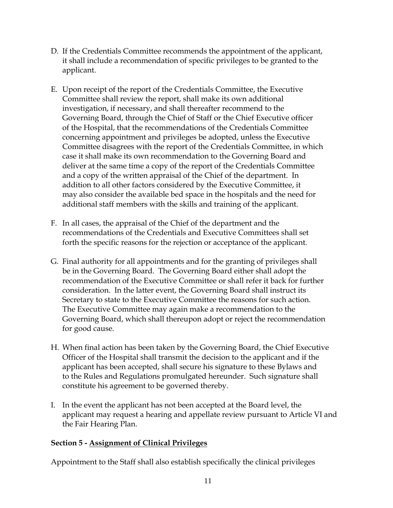- D. If the Credentials Committee recommends the appointment of the applicant, it shall include a recommendation of specific privileges to be granted to the applicant.
- E. Upon receipt of the report of the Credentials Committee, the Executive Committee shall review the report, shall make its own additional investigation, if necessary, and shall thereafter recommend to the Governing Board, through the Chief of Staff or the Chief Executive officer of the Hospital, that the recommendations of the Credentials Committee concerning appointment and privileges be adopted, unless the Executive Committee disagrees with the report of the Credentials Committee, in which case it shall make its own recommendation to the Governing Board and deliver at the same time a copy of the report of the Credentials Committee and a copy of the written appraisal of the Chief of the department. In addition to all other factors considered by the Executive Committee, it may also consider the available bed space in the hospitals and the need for additional staff members with the skills and training of the applicant.
- F. In all cases, the appraisal of the Chief of the department and the recommendations of the Credentials and Executive Committees shall set forth the specific reasons for the rejection or acceptance of the applicant.
- G. Final authority for all appointments and for the granting of privileges shall be in the Governing Board. The Governing Board either shall adopt the recommendation of the Executive Committee or shall refer it back for further consideration. In the latter event, the Governing Board shall instruct its Secretary to state to the Executive Committee the reasons for such action. The Executive Committee may again make a recommendation to the Governing Board, which shall thereupon adopt or reject the recommendation for good cause.
- H. When final action has been taken by the Governing Board, the Chief Executive Officer of the Hospital shall transmit the decision to the applicant and if the applicant has been accepted, shall secure his signature to these Bylaws and to the Rules and Regulations promulgated hereunder. Such signature shall constitute his agreement to be governed thereby.
- I. In the event the applicant has not been accepted at the Board level, the applicant may request a hearing and appellate review pursuant to Article VI and the Fair Hearing Plan.

#### **Section 5 - Assignment of Clinical Privileges**

Appointment to the Staff shall also establish specifically the clinical privileges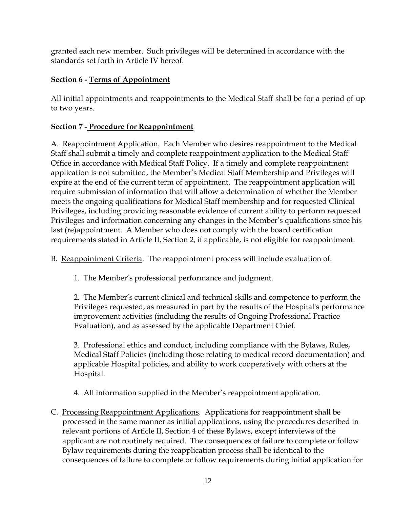granted each new member. Such privileges will be determined in accordance with the standards set forth in Article IV hereof.

# **Section 6 - Terms of Appointment**

All initial appointments and reappointments to the Medical Staff shall be for a period of up to two years.

# **Section 7 - Procedure for Reappointment**

A. Reappointment Application. Each Member who desires reappointment to the Medical Staff shall submit a timely and complete reappointment application to the Medical Staff Office in accordance with Medical Staff Policy. If a timely and complete reappointment application is not submitted, the Member's Medical Staff Membership and Privileges will expire at the end of the current term of appointment. The reappointment application will require submission of information that will allow a determination of whether the Member meets the ongoing qualifications for Medical Staff membership and for requested Clinical Privileges, including providing reasonable evidence of current ability to perform requested Privileges and information concerning any changes in the Member's qualifications since his last (re)appointment. A Member who does not comply with the board certification requirements stated in Article II, Section 2, if applicable, is not eligible for reappointment.

B. Reappointment Criteria. The reappointment process will include evaluation of:

1. The Member's professional performance and judgment.

2. The Member's current clinical and technical skills and competence to perform the Privileges requested, as measured in part by the results of the Hospital's performance improvement activities (including the results of Ongoing Professional Practice Evaluation), and as assessed by the applicable Department Chief.

3. Professional ethics and conduct, including compliance with the Bylaws, Rules, Medical Staff Policies (including those relating to medical record documentation) and applicable Hospital policies, and ability to work cooperatively with others at the Hospital.

- 4. All information supplied in the Member's reappointment application.
- C. Processing Reappointment Applications. Applications for reappointment shall be processed in the same manner as initial applications, using the procedures described in relevant portions of Article II, Section 4 of these Bylaws, except interviews of the applicant are not routinely required. The consequences of failure to complete or follow Bylaw requirements during the reapplication process shall be identical to the consequences of failure to complete or follow requirements during initial application for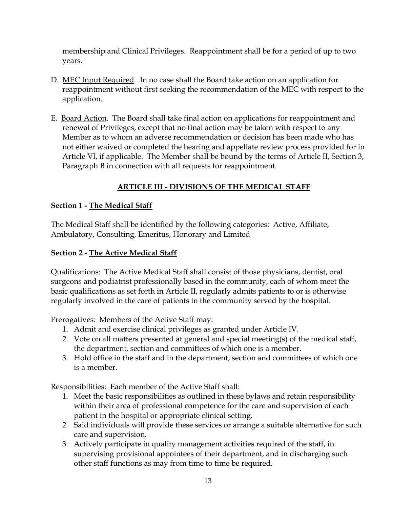membership and Clinical Privileges. Reappointment shall be for a period of up to two years.

- D. MEC Input Required. In no case shall the Board take action on an application for reappointment without first seeking the recommendation of the MEC with respect to the application.
- E. Board Action. The Board shall take final action on applications for reappointment and renewal of Privileges, except that no final action may be taken with respect to any Member as to whom an adverse recommendation or decision has been made who has not either waived or completed the hearing and appellate review process provided for in Article VI, if applicable. The Member shall be bound by the terms of Article II, Section 3, Paragraph B in connection with all requests for reappointment.

# **ARTICLE III - DIVISIONS OF THE MEDICAL STAFF**

#### **Section 1 - The Medical Staff**

The Medical Staff shall be identified by the following categories: Active, Affiliate, Ambulatory, Consulting, Emeritus, Honorary and Limited

#### **Section 2 - The Active Medical Staff**

Qualifications: The Active Medical Staff shall consist of those physicians, dentist, oral surgeons and podiatrist professionally based in the community, each of whom meet the basic qualifications as set forth in Article II, regularly admits patients to or is otherwise regularly involved in the care of patients in the community served by the hospital.

Prerogatives: Members of the Active Staff may:

- 1. Admit and exercise clinical privileges as granted under Article IV.
- 2. Vote on all matters presented at general and special meeting(s) of the medical staff, the department, section and committees of which one is a member.
- 3. Hold office in the staff and in the department, section and committees of which one is a member.

Responsibilities: Each member of the Active Staff shall:

- 1. Meet the basic responsibilities as outlined in these bylaws and retain responsibility within their area of professional competence for the care and supervision of each patient in the hospital or appropriate clinical setting.
- 2. Said individuals will provide these services or arrange a suitable alternative for such care and supervision.
- 3. Actively participate in quality management activities required of the staff, in supervising provisional appointees of their department, and in discharging such other staff functions as may from time to time be required.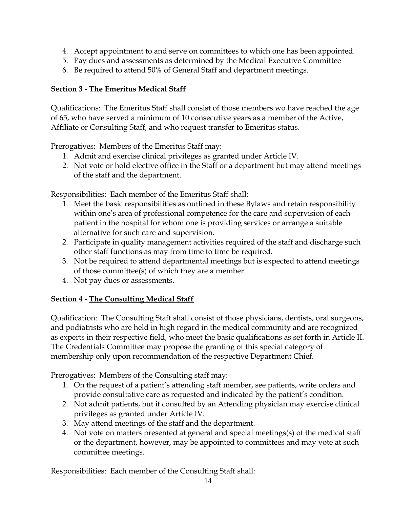- 4. Accept appointment to and serve on committees to which one has been appointed.
- 5. Pay dues and assessments as determined by the Medical Executive Committee
- 6. Be required to attend 50% of General Staff and department meetings.

#### **Section 3 - The Emeritus Medical Staff**

Qualifications: The Emeritus Staff shall consist of those members wo have reached the age of 65, who have served a minimum of 10 consecutive years as a member of the Active, Affiliate or Consulting Staff, and who request transfer to Emeritus status.

Prerogatives: Members of the Emeritus Staff may:

- 1. Admit and exercise clinical privileges as granted under Article IV.
- 2. Not vote or hold elective office in the Staff or a department but may attend meetings of the staff and the department.

Responsibilities: Each member of the Emeritus Staff shall:

- 1. Meet the basic responsibilities as outlined in these Bylaws and retain responsibility within one's area of professional competence for the care and supervision of each patient in the hospital for whom one is providing services or arrange a suitable alternative for such care and supervision.
- 2. Participate in quality management activities required of the staff and discharge such other staff functions as may from time to time be required.
- 3. Not be required to attend departmental meetings but is expected to attend meetings of those committee(s) of which they are a member.
- 4. Not pay dues or assessments.

#### **Section 4 - The Consulting Medical Staff**

Qualification: The Consulting Staff shall consist of those physicians, dentists, oral surgeons, and podiatrists who are held in high regard in the medical community and are recognized as experts in their respective field, who meet the basic qualifications as set forth in Article II. The Credentials Committee may propose the granting of this special category of membership only upon recommendation of the respective Department Chief.

Prerogatives: Members of the Consulting staff may:

- 1. On the request of a patient's attending staff member, see patients, write orders and provide consultative care as requested and indicated by the patient's condition.
- 2. Not admit patients, but if consulted by an Attending physician may exercise clinical privileges as granted under Article IV.
- 3. May attend meetings of the staff and the department.
- 4. Not vote on matters presented at general and special meetings(s) of the medical staff or the department, however, may be appointed to committees and may vote at such committee meetings.

Responsibilities: Each member of the Consulting Staff shall: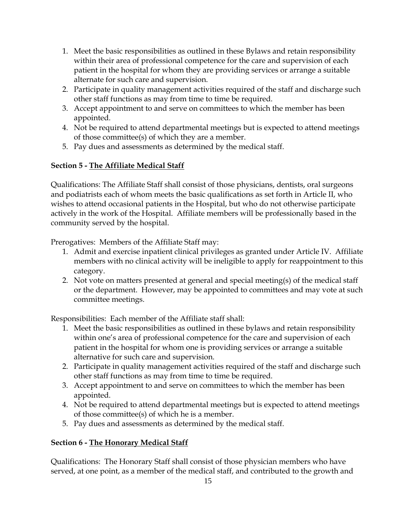- 1. Meet the basic responsibilities as outlined in these Bylaws and retain responsibility within their area of professional competence for the care and supervision of each patient in the hospital for whom they are providing services or arrange a suitable alternate for such care and supervision.
- 2. Participate in quality management activities required of the staff and discharge such other staff functions as may from time to time be required.
- 3. Accept appointment to and serve on committees to which the member has been appointed.
- 4. Not be required to attend departmental meetings but is expected to attend meetings of those committee(s) of which they are a member.
- 5. Pay dues and assessments as determined by the medical staff.

# **Section 5 - The Affiliate Medical Staff**

Qualifications: The Affiliate Staff shall consist of those physicians, dentists, oral surgeons and podiatrists each of whom meets the basic qualifications as set forth in Article II, who wishes to attend occasional patients in the Hospital, but who do not otherwise participate actively in the work of the Hospital. Affiliate members will be professionally based in the community served by the hospital.

Prerogatives: Members of the Affiliate Staff may:

- 1. Admit and exercise inpatient clinical privileges as granted under Article IV. Affiliate members with no clinical activity will be ineligible to apply for reappointment to this category.
- 2. Not vote on matters presented at general and special meeting(s) of the medical staff or the department. However, may be appointed to committees and may vote at such committee meetings.

Responsibilities: Each member of the Affiliate staff shall:

- 1. Meet the basic responsibilities as outlined in these bylaws and retain responsibility within one's area of professional competence for the care and supervision of each patient in the hospital for whom one is providing services or arrange a suitable alternative for such care and supervision.
- 2. Participate in quality management activities required of the staff and discharge such other staff functions as may from time to time be required.
- 3. Accept appointment to and serve on committees to which the member has been appointed.
- 4. Not be required to attend departmental meetings but is expected to attend meetings of those committee(s) of which he is a member.
- 5. Pay dues and assessments as determined by the medical staff.

# **Section 6 - The Honorary Medical Staff**

Qualifications: The Honorary Staff shall consist of those physician members who have served, at one point, as a member of the medical staff, and contributed to the growth and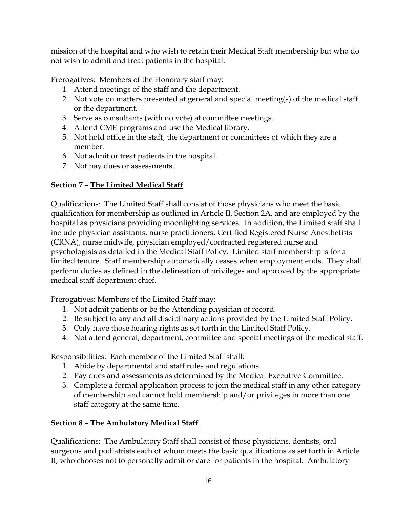mission of the hospital and who wish to retain their Medical Staff membership but who do not wish to admit and treat patients in the hospital.

Prerogatives: Members of the Honorary staff may:

- 1. Attend meetings of the staff and the department.
- 2. Not vote on matters presented at general and special meeting(s) of the medical staff or the department.
- 3. Serve as consultants (with no vote) at committee meetings.
- 4. Attend CME programs and use the Medical library.
- 5. Not hold office in the staff, the department or committees of which they are a member.
- 6. Not admit or treat patients in the hospital.
- 7. Not pay dues or assessments.

# **Section 7 – The Limited Medical Staff**

Qualifications: The Limited Staff shall consist of those physicians who meet the basic qualification for membership as outlined in Article II, Section 2A, and are employed by the hospital as physicians providing moonlighting services. In addition, the Limited staff shall include physician assistants, nurse practitioners, Certified Registered Nurse Anesthetists (CRNA), nurse midwife, physician employed/contracted registered nurse and psychologists as detailed in the Medical Staff Policy. Limited staff membership is for a limited tenure. Staff membership automatically ceases when employment ends. They shall perform duties as defined in the delineation of privileges and approved by the appropriate medical staff department chief.

Prerogatives: Members of the Limited Staff may:

- 1. Not admit patients or be the Attending physician of record.
- 2. Be subject to any and all disciplinary actions provided by the Limited Staff Policy.
- 3. Only have those hearing rights as set forth in the Limited Staff Policy.
- 4. Not attend general, department, committee and special meetings of the medical staff.

Responsibilities: Each member of the Limited Staff shall:

- 1. Abide by departmental and staff rules and regulations.
- 2. Pay dues and assessments as determined by the Medical Executive Committee.
- 3. Complete a formal application process to join the medical staff in any other category of membership and cannot hold membership and/or privileges in more than one staff category at the same time.

# **Section 8 – The Ambulatory Medical Staff**

Qualifications: The Ambulatory Staff shall consist of those physicians, dentists, oral surgeons and podiatrists each of whom meets the basic qualifications as set forth in Article II, who chooses not to personally admit or care for patients in the hospital. Ambulatory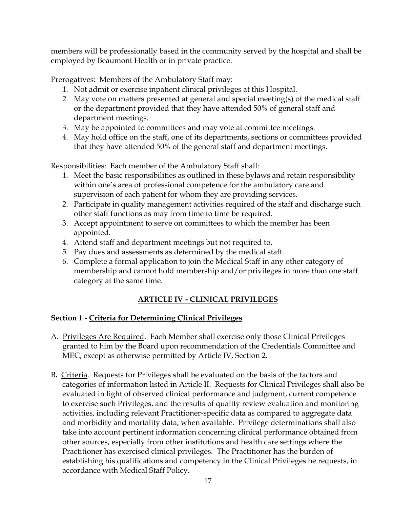members will be professionally based in the community served by the hospital and shall be employed by Beaumont Health or in private practice.

Prerogatives: Members of the Ambulatory Staff may:

- 1. Not admit or exercise inpatient clinical privileges at this Hospital.
- 2. May vote on matters presented at general and special meeting(s) of the medical staff or the department provided that they have attended 50% of general staff and department meetings.
- 3. May be appointed to committees and may vote at committee meetings.
- 4. May hold office on the staff, one of its departments, sections or committees provided that they have attended 50% of the general staff and department meetings.

Responsibilities: Each member of the Ambulatory Staff shall:

- 1. Meet the basic responsibilities as outlined in these bylaws and retain responsibility within one's area of professional competence for the ambulatory care and supervision of each patient for whom they are providing services.
- 2. Participate in quality management activities required of the staff and discharge such other staff functions as may from time to time be required.
- 3. Accept appointment to serve on committees to which the member has been appointed.
- 4. Attend staff and department meetings but not required to.
- 5. Pay dues and assessments as determined by the medical staff.
- 6. Complete a formal application to join the Medical Staff in any other category of membership and cannot hold membership and/or privileges in more than one staff category at the same time.

# **ARTICLE IV - CLINICAL PRIVILEGES**

#### **Section 1 - Criteria for Determining Clinical Privileges**

- A. Privileges Are Required. Each Member shall exercise only those Clinical Privileges granted to him by the Board upon recommendation of the Credentials Committee and MEC, except as otherwise permitted by Article IV, Section 2.
- B**.** Criteria. Requests for Privileges shall be evaluated on the basis of the factors and categories of information listed in Article II. Requests for Clinical Privileges shall also be evaluated in light of observed clinical performance and judgment, current competence to exercise such Privileges, and the results of quality review evaluation and monitoring activities, including relevant Practitioner-specific data as compared to aggregate data and morbidity and mortality data, when available. Privilege determinations shall also take into account pertinent information concerning clinical performance obtained from other sources, especially from other institutions and health care settings where the Practitioner has exercised clinical privileges. The Practitioner has the burden of establishing his qualifications and competency in the Clinical Privileges he requests, in accordance with Medical Staff Policy.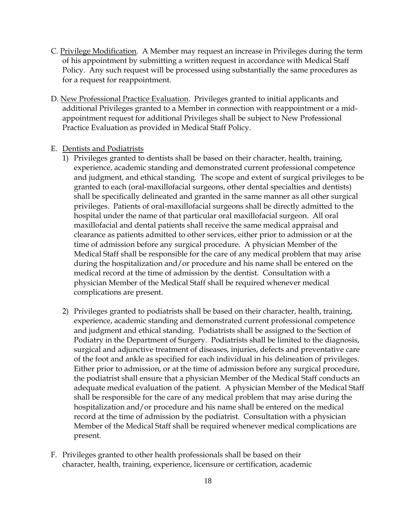- C. Privilege Modification. A Member may request an increase in Privileges during the term of his appointment by submitting a written request in accordance with Medical Staff Policy. Any such request will be processed using substantially the same procedures as for a request for reappointment.
- D. New Professional Practice Evaluation. Privileges granted to initial applicants and additional Privileges granted to a Member in connection with reappointment or a midappointment request for additional Privileges shall be subject to New Professional Practice Evaluation as provided in Medical Staff Policy.
- E. Dentists and Podiatrists
	- 1) Privileges granted to dentists shall be based on their character, health, training, experience, academic standing and demonstrated current professional competence and judgment, and ethical standing. The scope and extent of surgical privileges to be granted to each (oral-maxillofacial surgeons, other dental specialties and dentists) shall be specifically delineated and granted in the same manner as all other surgical privileges. Patients of oral-maxillofacial surgeons shall be directly admitted to the hospital under the name of that particular oral maxillofacial surgeon. All oral maxillofacial and dental patients shall receive the same medical appraisal and clearance as patients admitted to other services, either prior to admission or at the time of admission before any surgical procedure. A physician Member of the Medical Staff shall be responsible for the care of any medical problem that may arise during the hospitalization and/or procedure and his name shall be entered on the medical record at the time of admission by the dentist. Consultation with a physician Member of the Medical Staff shall be required whenever medical complications are present.
	- 2) Privileges granted to podiatrists shall be based on their character, health, training, experience, academic standing and demonstrated current professional competence and judgment and ethical standing. Podiatrists shall be assigned to the Section of Podiatry in the Department of Surgery. Podiatrists shall be limited to the diagnosis, surgical and adjunctive treatment of diseases, injuries, defects and preventative care of the foot and ankle as specified for each individual in his delineation of privileges. Either prior to admission, or at the time of admission before any surgical procedure, the podiatrist shall ensure that a physician Member of the Medical Staff conducts an adequate medical evaluation of the patient. A physician Member of the Medical Staff shall be responsible for the care of any medical problem that may arise during the hospitalization and/or procedure and his name shall be entered on the medical record at the time of admission by the podiatrist. Consultation with a physician Member of the Medical Staff shall be required whenever medical complications are present.
- F. Privileges granted to other health professionals shall be based on their character, health, training, experience, licensure or certification, academic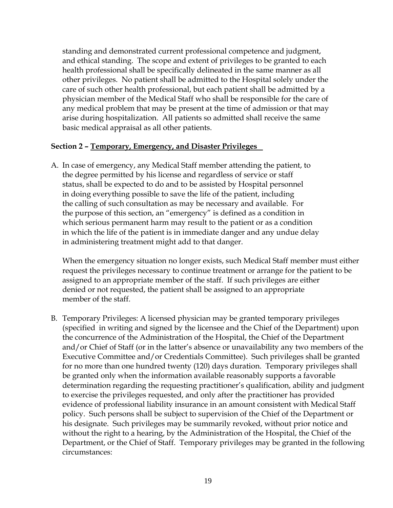standing and demonstrated current professional competence and judgment, and ethical standing. The scope and extent of privileges to be granted to each health professional shall be specifically delineated in the same manner as all other privileges. No patient shall be admitted to the Hospital solely under the care of such other health professional, but each patient shall be admitted by a physician member of the Medical Staff who shall be responsible for the care of any medical problem that may be present at the time of admission or that may arise during hospitalization. All patients so admitted shall receive the same basic medical appraisal as all other patients.

#### **Section 2 – Temporary, Emergency, and Disaster Privileges**

A. In case of emergency, any Medical Staff member attending the patient, to the degree permitted by his license and regardless of service or staff status, shall be expected to do and to be assisted by Hospital personnel in doing everything possible to save the life of the patient, including the calling of such consultation as may be necessary and available. For the purpose of this section, an "emergency" is defined as a condition in which serious permanent harm may result to the patient or as a condition in which the life of the patient is in immediate danger and any undue delay in administering treatment might add to that danger.

When the emergency situation no longer exists, such Medical Staff member must either request the privileges necessary to continue treatment or arrange for the patient to be assigned to an appropriate member of the staff. If such privileges are either denied or not requested, the patient shall be assigned to an appropriate member of the staff.

B. Temporary Privileges: A licensed physician may be granted temporary privileges (specified in writing and signed by the licensee and the Chief of the Department) upon the concurrence of the Administration of the Hospital, the Chief of the Department and/or Chief of Staff (or in the latter's absence or unavailability any two members of the Executive Committee and/or Credentials Committee). Such privileges shall be granted for no more than one hundred twenty (120) days duration. Temporary privileges shall be granted only when the information available reasonably supports a favorable determination regarding the requesting practitioner's qualification, ability and judgment to exercise the privileges requested, and only after the practitioner has provided evidence of professional liability insurance in an amount consistent with Medical Staff policy. Such persons shall be subject to supervision of the Chief of the Department or his designate. Such privileges may be summarily revoked, without prior notice and without the right to a hearing, by the Administration of the Hospital, the Chief of the Department, or the Chief of Staff. Temporary privileges may be granted in the following circumstances: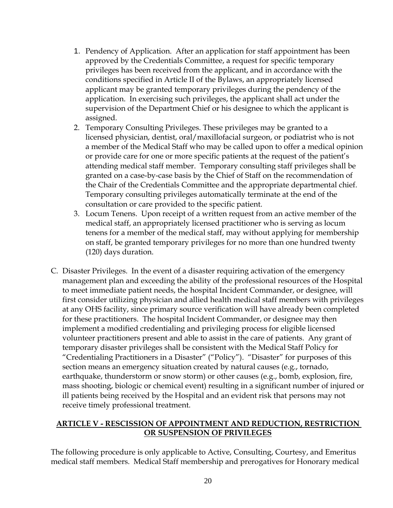- 1. Pendency of Application. After an application for staff appointment has been approved by the Credentials Committee, a request for specific temporary privileges has been received from the applicant, and in accordance with the conditions specified in Article II of the Bylaws, an appropriately licensed applicant may be granted temporary privileges during the pendency of the application. In exercising such privileges, the applicant shall act under the supervision of the Department Chief or his designee to which the applicant is assigned.
- 2. Temporary Consulting Privileges. These privileges may be granted to a licensed physician, dentist, oral/maxillofacial surgeon, or podiatrist who is not a member of the Medical Staff who may be called upon to offer a medical opinion or provide care for one or more specific patients at the request of the patient's attending medical staff member. Temporary consulting staff privileges shall be granted on a case-by-case basis by the Chief of Staff on the recommendation of the Chair of the Credentials Committee and the appropriate departmental chief. Temporary consulting privileges automatically terminate at the end of the consultation or care provided to the specific patient.
- 3. Locum Tenens. Upon receipt of a written request from an active member of the medical staff, an appropriately licensed practitioner who is serving as locum tenens for a member of the medical staff, may without applying for membership on staff, be granted temporary privileges for no more than one hundred twenty (120) days duration.
- C. Disaster Privileges. In the event of a disaster requiring activation of the emergency management plan and exceeding the ability of the professional resources of the Hospital to meet immediate patient needs, the hospital Incident Commander, or designee, will first consider utilizing physician and allied health medical staff members with privileges at any OHS facility, since primary source verification will have already been completed for these practitioners. The hospital Incident Commander, or designee may then implement a modified credentialing and privileging process for eligible licensed volunteer practitioners present and able to assist in the care of patients. Any grant of temporary disaster privileges shall be consistent with the Medical Staff Policy for "Credentialing Practitioners in a Disaster" ("Policy"). "Disaster" for purposes of this section means an emergency situation created by natural causes (e.g., tornado, earthquake, thunderstorm or snow storm) or other causes (e.g., bomb, explosion, fire, mass shooting, biologic or chemical event) resulting in a significant number of injured or ill patients being received by the Hospital and an evident risk that persons may not receive timely professional treatment.

#### **ARTICLE V - RESCISSION OF APPOINTMENT AND REDUCTION, RESTRICTION OR SUSPENSION OF PRIVILEGES**

The following procedure is only applicable to Active, Consulting, Courtesy, and Emeritus medical staff members. Medical Staff membership and prerogatives for Honorary medical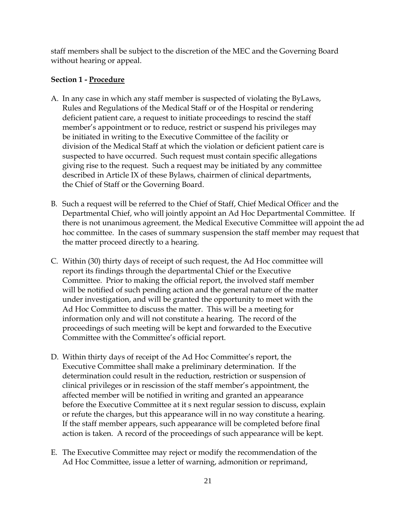staff members shall be subject to the discretion of the MEC and the Governing Board without hearing or appeal.

# **Section 1 - Procedure**

- A. In any case in which any staff member is suspected of violating the ByLaws, Rules and Regulations of the Medical Staff or of the Hospital or rendering deficient patient care, a request to initiate proceedings to rescind the staff member's appointment or to reduce, restrict or suspend his privileges may be initiated in writing to the Executive Committee of the facility or division of the Medical Staff at which the violation or deficient patient care is suspected to have occurred. Such request must contain specific allegations giving rise to the request. Such a request may be initiated by any committee described in Article IX of these Bylaws, chairmen of clinical departments, the Chief of Staff or the Governing Board.
- B. Such a request will be referred to the Chief of Staff, Chief Medical Officer and the Departmental Chief, who will jointly appoint an Ad Hoc Departmental Committee. If there is not unanimous agreement, the Medical Executive Committee will appoint the ad hoc committee. In the cases of summary suspension the staff member may request that the matter proceed directly to a hearing.
- C. Within (30) thirty days of receipt of such request, the Ad Hoc committee will report its findings through the departmental Chief or the Executive Committee. Prior to making the official report, the involved staff member will be notified of such pending action and the general nature of the matter under investigation, and will be granted the opportunity to meet with the Ad Hoc Committee to discuss the matter. This will be a meeting for information only and will not constitute a hearing. The record of the proceedings of such meeting will be kept and forwarded to the Executive Committee with the Committee's official report.
- D. Within thirty days of receipt of the Ad Hoc Committee's report, the Executive Committee shall make a preliminary determination. If the determination could result in the reduction, restriction or suspension of clinical privileges or in rescission of the staff member's appointment, the affected member will be notified in writing and granted an appearance before the Executive Committee at it s next regular session to discuss, explain or refute the charges, but this appearance will in no way constitute a hearing. If the staff member appears, such appearance will be completed before final action is taken. A record of the proceedings of such appearance will be kept.
- E. The Executive Committee may reject or modify the recommendation of the Ad Hoc Committee, issue a letter of warning, admonition or reprimand,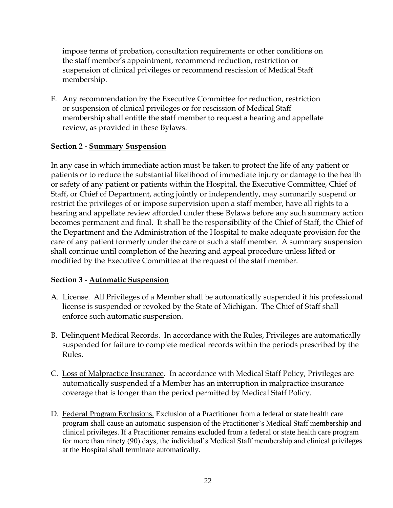impose terms of probation, consultation requirements or other conditions on the staff member's appointment, recommend reduction, restriction or suspension of clinical privileges or recommend rescission of Medical Staff membership.

F. Any recommendation by the Executive Committee for reduction, restriction or suspension of clinical privileges or for rescission of Medical Staff membership shall entitle the staff member to request a hearing and appellate review, as provided in these Bylaws.

# **Section 2 - Summary Suspension**

In any case in which immediate action must be taken to protect the life of any patient or patients or to reduce the substantial likelihood of immediate injury or damage to the health or safety of any patient or patients within the Hospital, the Executive Committee, Chief of Staff, or Chief of Department, acting jointly or independently, may summarily suspend or restrict the privileges of or impose supervision upon a staff member, have all rights to a hearing and appellate review afforded under these Bylaws before any such summary action becomes permanent and final. It shall be the responsibility of the Chief of Staff, the Chief of the Department and the Administration of the Hospital to make adequate provision for the care of any patient formerly under the care of such a staff member. A summary suspension shall continue until completion of the hearing and appeal procedure unless lifted or modified by the Executive Committee at the request of the staff member.

#### **Section 3 - Automatic Suspension**

- A. License. All Privileges of a Member shall be automatically suspended if his professional license is suspended or revoked by the State of Michigan. The Chief of Staff shall enforce such automatic suspension.
- B. Delinquent Medical Records. In accordance with the Rules, Privileges are automatically suspended for failure to complete medical records within the periods prescribed by the Rules.
- C. Loss of Malpractice Insurance. In accordance with Medical Staff Policy, Privileges are automatically suspended if a Member has an interruption in malpractice insurance coverage that is longer than the period permitted by Medical Staff Policy.
- D. Federal Program Exclusions. Exclusion of a Practitioner from a federal or state health care program shall cause an automatic suspension of the Practitioner's Medical Staff membership and clinical privileges. If a Practitioner remains excluded from a federal or state health care program for more than ninety (90) days, the individual's Medical Staff membership and clinical privileges at the Hospital shall terminate automatically.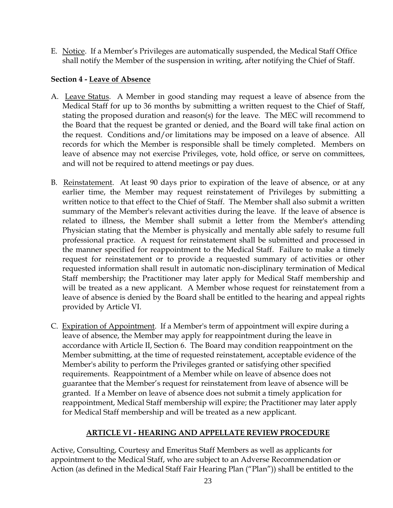E. Notice. If a Member's Privileges are automatically suspended, the Medical Staff Office shall notify the Member of the suspension in writing, after notifying the Chief of Staff.

## **Section 4 - Leave of Absence**

- A. Leave Status. A Member in good standing may request a leave of absence from the Medical Staff for up to 36 months by submitting a written request to the Chief of Staff, stating the proposed duration and reason(s) for the leave. The MEC will recommend to the Board that the request be granted or denied, and the Board will take final action on the request. Conditions and/or limitations may be imposed on a leave of absence. All records for which the Member is responsible shall be timely completed. Members on leave of absence may not exercise Privileges, vote, hold office, or serve on committees, and will not be required to attend meetings or pay dues.
- B. Reinstatement. At least 90 days prior to expiration of the leave of absence, or at any earlier time, the Member may request reinstatement of Privileges by submitting a written notice to that effect to the Chief of Staff. The Member shall also submit a written summary of the Member's relevant activities during the leave. If the leave of absence is related to illness, the Member shall submit a letter from the Member's attending Physician stating that the Member is physically and mentally able safely to resume full professional practice. A request for reinstatement shall be submitted and processed in the manner specified for reappointment to the Medical Staff. Failure to make a timely request for reinstatement or to provide a requested summary of activities or other requested information shall result in automatic non-disciplinary termination of Medical Staff membership; the Practitioner may later apply for Medical Staff membership and will be treated as a new applicant. A Member whose request for reinstatement from a leave of absence is denied by the Board shall be entitled to the hearing and appeal rights provided by Article VI.
- C. Expiration of Appointment. If a Member's term of appointment will expire during a leave of absence, the Member may apply for reappointment during the leave in accordance with Article II, Section 6. The Board may condition reappointment on the Member submitting, at the time of requested reinstatement, acceptable evidence of the Member's ability to perform the Privileges granted or satisfying other specified requirements. Reappointment of a Member while on leave of absence does not guarantee that the Member's request for reinstatement from leave of absence will be granted. If a Member on leave of absence does not submit a timely application for reappointment, Medical Staff membership will expire; the Practitioner may later apply for Medical Staff membership and will be treated as a new applicant.

#### **ARTICLE VI - HEARING AND APPELLATE REVIEW PROCEDURE**

Active, Consulting, Courtesy and Emeritus Staff Members as well as applicants for appointment to the Medical Staff, who are subject to an Adverse Recommendation or Action (as defined in the Medical Staff Fair Hearing Plan ("Plan")) shall be entitled to the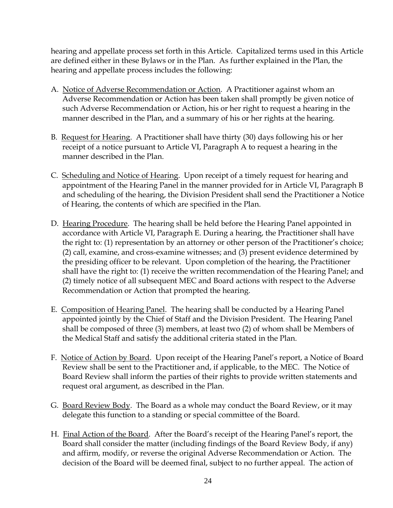hearing and appellate process set forth in this Article. Capitalized terms used in this Article are defined either in these Bylaws or in the Plan. As further explained in the Plan, the hearing and appellate process includes the following:

- A. Notice of Adverse Recommendation or Action. A Practitioner against whom an Adverse Recommendation or Action has been taken shall promptly be given notice of such Adverse Recommendation or Action, his or her right to request a hearing in the manner described in the Plan, and a summary of his or her rights at the hearing.
- B. Request for Hearing. A Practitioner shall have thirty (30) days following his or her receipt of a notice pursuant to Article VI, Paragraph A to request a hearing in the manner described in the Plan.
- C. Scheduling and Notice of Hearing. Upon receipt of a timely request for hearing and appointment of the Hearing Panel in the manner provided for in Article VI, Paragraph B and scheduling of the hearing, the Division President shall send the Practitioner a Notice of Hearing, the contents of which are specified in the Plan.
- D. Hearing Procedure. The hearing shall be held before the Hearing Panel appointed in accordance with Article VI, Paragraph E. During a hearing, the Practitioner shall have the right to: (1) representation by an attorney or other person of the Practitioner's choice; (2) call, examine, and cross-examine witnesses; and (3) present evidence determined by the presiding officer to be relevant. Upon completion of the hearing, the Practitioner shall have the right to: (1) receive the written recommendation of the Hearing Panel; and (2) timely notice of all subsequent MEC and Board actions with respect to the Adverse Recommendation or Action that prompted the hearing.
- E. Composition of Hearing Panel. The hearing shall be conducted by a Hearing Panel appointed jointly by the Chief of Staff and the Division President. The Hearing Panel shall be composed of three (3) members, at least two (2) of whom shall be Members of the Medical Staff and satisfy the additional criteria stated in the Plan.
- F. Notice of Action by Board. Upon receipt of the Hearing Panel's report, a Notice of Board Review shall be sent to the Practitioner and, if applicable, to the MEC. The Notice of Board Review shall inform the parties of their rights to provide written statements and request oral argument, as described in the Plan.
- G. Board Review Body. The Board as a whole may conduct the Board Review, or it may delegate this function to a standing or special committee of the Board.
- H. Final Action of the Board. After the Board's receipt of the Hearing Panel's report, the Board shall consider the matter (including findings of the Board Review Body, if any) and affirm, modify, or reverse the original Adverse Recommendation or Action. The decision of the Board will be deemed final, subject to no further appeal. The action of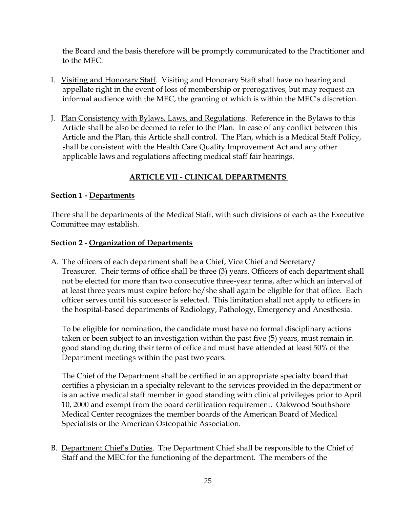the Board and the basis therefore will be promptly communicated to the Practitioner and to the MEC.

- I. Visiting and Honorary Staff. Visiting and Honorary Staff shall have no hearing and appellate right in the event of loss of membership or prerogatives, but may request an informal audience with the MEC, the granting of which is within the MEC's discretion.
- J. Plan Consistency with Bylaws, Laws, and Regulations. Reference in the Bylaws to this Article shall be also be deemed to refer to the Plan. In case of any conflict between this Article and the Plan, this Article shall control. The Plan, which is a Medical Staff Policy, shall be consistent with the Health Care Quality Improvement Act and any other applicable laws and regulations affecting medical staff fair hearings.

# **ARTICLE VII - CLINICAL DEPARTMENTS**

#### **Section 1 - Departments**

There shall be departments of the Medical Staff, with such divisions of each as the Executive Committee may establish.

# **Section 2 - Organization of Departments**

A. The officers of each department shall be a Chief, Vice Chief and Secretary/ Treasurer. Their terms of office shall be three (3) years. Officers of each department shall not be elected for more than two consecutive three-year terms, after which an interval of at least three years must expire before he/she shall again be eligible for that office. Each officer serves until his successor is selected. This limitation shall not apply to officers in the hospital-based departments of Radiology, Pathology, Emergency and Anesthesia.

To be eligible for nomination, the candidate must have no formal disciplinary actions taken or been subject to an investigation within the past five (5) years, must remain in good standing during their term of office and must have attended at least 50% of the Department meetings within the past two years.

The Chief of the Department shall be certified in an appropriate specialty board that certifies a physician in a specialty relevant to the services provided in the department or is an active medical staff member in good standing with clinical privileges prior to April 10, 2000 and exempt from the board certification requirement. Oakwood Southshore Medical Center recognizes the member boards of the American Board of Medical Specialists or the American Osteopathic Association.

B. Department Chief's Duties. The Department Chief shall be responsible to the Chief of Staff and the MEC for the functioning of the department. The members of the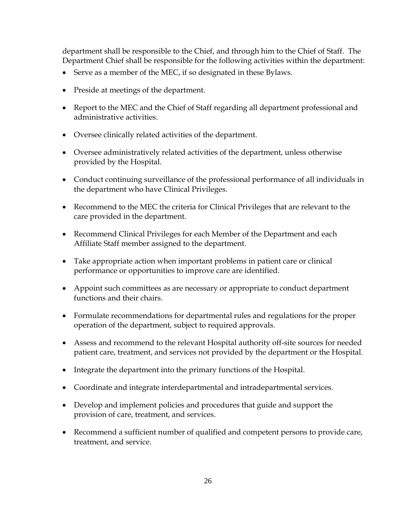department shall be responsible to the Chief, and through him to the Chief of Staff. The Department Chief shall be responsible for the following activities within the department:

- Serve as a member of the MEC, if so designated in these Bylaws.
- Preside at meetings of the department.
- Report to the MEC and the Chief of Staff regarding all department professional and administrative activities.
- Oversee clinically related activities of the department.
- Oversee administratively related activities of the department, unless otherwise provided by the Hospital.
- Conduct continuing surveillance of the professional performance of all individuals in the department who have Clinical Privileges.
- Recommend to the MEC the criteria for Clinical Privileges that are relevant to the care provided in the department.
- Recommend Clinical Privileges for each Member of the Department and each Affiliate Staff member assigned to the department.
- Take appropriate action when important problems in patient care or clinical performance or opportunities to improve care are identified.
- Appoint such committees as are necessary or appropriate to conduct department functions and their chairs.
- Formulate recommendations for departmental rules and regulations for the proper operation of the department, subject to required approvals.
- Assess and recommend to the relevant Hospital authority off-site sources for needed patient care, treatment, and services not provided by the department or the Hospital.
- Integrate the department into the primary functions of the Hospital.
- Coordinate and integrate interdepartmental and intradepartmental services.
- Develop and implement policies and procedures that guide and support the provision of care, treatment, and services.
- Recommend a sufficient number of qualified and competent persons to provide care, treatment, and service.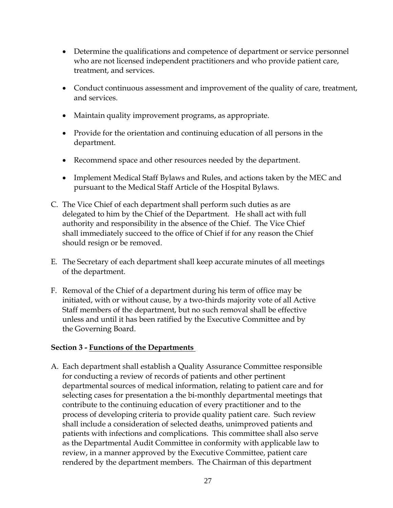- Determine the qualifications and competence of department or service personnel who are not licensed independent practitioners and who provide patient care, treatment, and services.
- Conduct continuous assessment and improvement of the quality of care, treatment, and services.
- Maintain quality improvement programs, as appropriate.
- Provide for the orientation and continuing education of all persons in the department.
- Recommend space and other resources needed by the department.
- Implement Medical Staff Bylaws and Rules, and actions taken by the MEC and pursuant to the Medical Staff Article of the Hospital Bylaws.
- C. The Vice Chief of each department shall perform such duties as are delegated to him by the Chief of the Department. He shall act with full authority and responsibility in the absence of the Chief. The Vice Chief shall immediately succeed to the office of Chief if for any reason the Chief should resign or be removed.
- E. The Secretary of each department shall keep accurate minutes of all meetings of the department.
- F. Removal of the Chief of a department during his term of office may be initiated, with or without cause, by a two-thirds majority vote of all Active Staff members of the department, but no such removal shall be effective unless and until it has been ratified by the Executive Committee and by the Governing Board.

# **Section 3 - Functions of the Departments**

A. Each department shall establish a Quality Assurance Committee responsible for conducting a review of records of patients and other pertinent departmental sources of medical information, relating to patient care and for selecting cases for presentation a the bi-monthly departmental meetings that contribute to the continuing education of every practitioner and to the process of developing criteria to provide quality patient care. Such review shall include a consideration of selected deaths, unimproved patients and patients with infections and complications. This committee shall also serve as the Departmental Audit Committee in conformity with applicable law to review, in a manner approved by the Executive Committee, patient care rendered by the department members. The Chairman of this department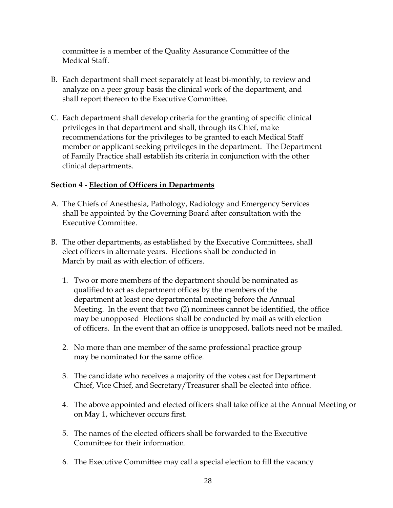committee is a member of the Quality Assurance Committee of the Medical Staff.

- B. Each department shall meet separately at least bi-monthly, to review and analyze on a peer group basis the clinical work of the department, and shall report thereon to the Executive Committee.
- C. Each department shall develop criteria for the granting of specific clinical privileges in that department and shall, through its Chief, make recommendations for the privileges to be granted to each Medical Staff member or applicant seeking privileges in the department. The Department of Family Practice shall establish its criteria in conjunction with the other clinical departments.

#### **Section 4 - Election of Officers in Departments**

- A. The Chiefs of Anesthesia, Pathology, Radiology and Emergency Services shall be appointed by the Governing Board after consultation with the Executive Committee.
- B. The other departments, as established by the Executive Committees, shall elect officers in alternate years. Elections shall be conducted in March by mail as with election of officers.
	- 1. Two or more members of the department should be nominated as qualified to act as department offices by the members of the department at least one departmental meeting before the Annual Meeting. In the event that two (2) nominees cannot be identified, the office may be unopposed Elections shall be conducted by mail as with election of officers. In the event that an office is unopposed, ballots need not be mailed.
	- 2. No more than one member of the same professional practice group may be nominated for the same office.
	- 3. The candidate who receives a majority of the votes cast for Department Chief, Vice Chief, and Secretary/Treasurer shall be elected into office.
	- 4. The above appointed and elected officers shall take office at the Annual Meeting or on May 1, whichever occurs first.
	- 5. The names of the elected officers shall be forwarded to the Executive Committee for their information.
	- 6. The Executive Committee may call a special election to fill the vacancy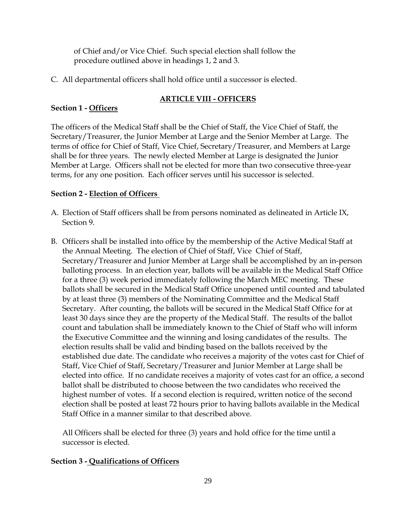of Chief and/or Vice Chief. Such special election shall follow the procedure outlined above in headings 1, 2 and 3.

C. All departmental officers shall hold office until a successor is elected.

# **ARTICLE VIII - OFFICERS**

# **Section 1 - Officers**

The officers of the Medical Staff shall be the Chief of Staff, the Vice Chief of Staff, the Secretary/Treasurer, the Junior Member at Large and the Senior Member at Large. The terms of office for Chief of Staff, Vice Chief, Secretary/Treasurer, and Members at Large shall be for three years. The newly elected Member at Large is designated the Junior Member at Large. Officers shall not be elected for more than two consecutive three-year terms, for any one position. Each officer serves until his successor is selected.

# **Section 2 - Election of Officers**

- A. Election of Staff officers shall be from persons nominated as delineated in Article IX, Section 9.
- B. Officers shall be installed into office by the membership of the Active Medical Staff at the Annual Meeting. The election of Chief of Staff, Vice Chief of Staff, Secretary/Treasurer and Junior Member at Large shall be accomplished by an in-person balloting process. In an election year, ballots will be available in the Medical Staff Office for a three (3) week period immediately following the March MEC meeting. These ballots shall be secured in the Medical Staff Office unopened until counted and tabulated by at least three (3) members of the Nominating Committee and the Medical Staff Secretary. After counting, the ballots will be secured in the Medical Staff Office for at least 30 days since they are the property of the Medical Staff. The results of the ballot count and tabulation shall be immediately known to the Chief of Staff who will inform the Executive Committee and the winning and losing candidates of the results. The election results shall be valid and binding based on the ballots received by the established due date. The candidate who receives a majority of the votes cast for Chief of Staff, Vice Chief of Staff, Secretary/Treasurer and Junior Member at Large shall be elected into office. If no candidate receives a majority of votes cast for an office, a second ballot shall be distributed to choose between the two candidates who received the highest number of votes. If a second election is required, written notice of the second election shall be posted at least 72 hours prior to having ballots available in the Medical Staff Office in a manner similar to that described above.

All Officers shall be elected for three (3) years and hold office for the time until a successor is elected.

# **Section 3 - Qualifications of Officers**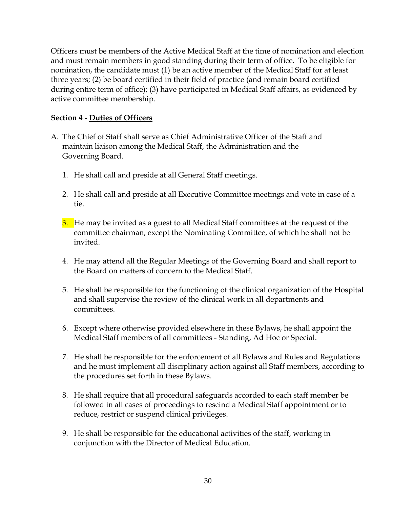Officers must be members of the Active Medical Staff at the time of nomination and election and must remain members in good standing during their term of office. To be eligible for nomination, the candidate must (1) be an active member of the Medical Staff for at least three years; (2) be board certified in their field of practice (and remain board certified during entire term of office); (3) have participated in Medical Staff affairs, as evidenced by active committee membership.

#### **Section 4 - Duties of Officers**

- A. The Chief of Staff shall serve as Chief Administrative Officer of the Staff and maintain liaison among the Medical Staff, the Administration and the Governing Board.
	- 1. He shall call and preside at all General Staff meetings.
	- 2. He shall call and preside at all Executive Committee meetings and vote in case of a tie.
	- 3. He may be invited as a guest to all Medical Staff committees at the request of the committee chairman, except the Nominating Committee, of which he shall not be invited.
	- 4. He may attend all the Regular Meetings of the Governing Board and shall report to the Board on matters of concern to the Medical Staff.
	- 5. He shall be responsible for the functioning of the clinical organization of the Hospital and shall supervise the review of the clinical work in all departments and committees.
	- 6. Except where otherwise provided elsewhere in these Bylaws, he shall appoint the Medical Staff members of all committees - Standing, Ad Hoc or Special.
	- 7. He shall be responsible for the enforcement of all Bylaws and Rules and Regulations and he must implement all disciplinary action against all Staff members, according to the procedures set forth in these Bylaws.
	- 8. He shall require that all procedural safeguards accorded to each staff member be followed in all cases of proceedings to rescind a Medical Staff appointment or to reduce, restrict or suspend clinical privileges.
	- 9. He shall be responsible for the educational activities of the staff, working in conjunction with the Director of Medical Education.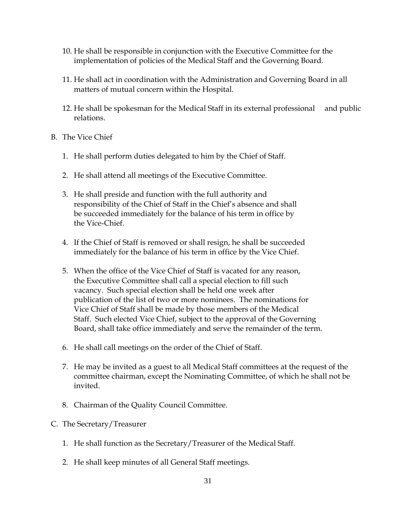- 10. He shall be responsible in conjunction with the Executive Committee for the implementation of policies of the Medical Staff and the Governing Board.
- 11. He shall act in coordination with the Administration and Governing Board in all matters of mutual concern within the Hospital.
- 12. He shall be spokesman for the Medical Staff in its external professional and public relations.
- B. The Vice Chief
	- 1. He shall perform duties delegated to him by the Chief of Staff.
	- 2. He shall attend all meetings of the Executive Committee.
	- 3. He shall preside and function with the full authority and responsibility of the Chief of Staff in the Chief's absence and shall be succeeded immediately for the balance of his term in office by the Vice-Chief.
	- 4. If the Chief of Staff is removed or shall resign, he shall be succeeded immediately for the balance of his term in office by the Vice Chief.
	- 5. When the office of the Vice Chief of Staff is vacated for any reason, the Executive Committee shall call a special election to fill such vacancy. Such special election shall be held one week after publication of the list of two or more nominees. The nominations for Vice Chief of Staff shall be made by those members of the Medical Staff. Such elected Vice Chief, subject to the approval of the Governing Board, shall take office immediately and serve the remainder of the term.
	- 6. He shall call meetings on the order of the Chief of Staff.
	- 7. He may be invited as a guest to all Medical Staff committees at the request of the committee chairman, except the Nominating Committee, of which he shall not be invited.
	- 8. Chairman of the Quality Council Committee.
- C. The Secretary/Treasurer
	- 1. He shall function as the Secretary/Treasurer of the Medical Staff.
	- 2. He shall keep minutes of all General Staff meetings.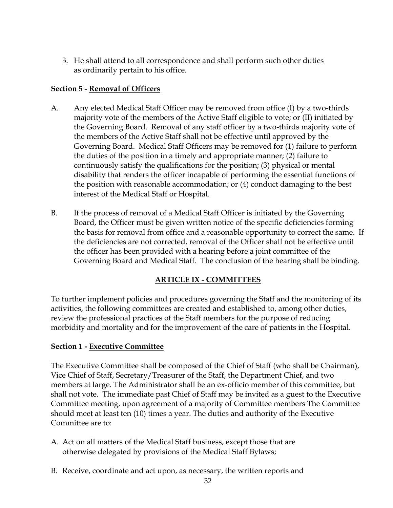3. He shall attend to all correspondence and shall perform such other duties as ordinarily pertain to his office.

## **Section 5 - Removal of Officers**

- A. Any elected Medical Staff Officer may be removed from office (I) by a two-thirds majority vote of the members of the Active Staff eligible to vote; or (II) initiated by the Governing Board. Removal of any staff officer by a two-thirds majority vote of the members of the Active Staff shall not be effective until approved by the Governing Board. Medical Staff Officers may be removed for (1) failure to perform the duties of the position in a timely and appropriate manner; (2) failure to continuously satisfy the qualifications for the position; (3) physical or mental disability that renders the officer incapable of performing the essential functions of the position with reasonable accommodation; or (4) conduct damaging to the best interest of the Medical Staff or Hospital.
- B. If the process of removal of a Medical Staff Officer is initiated by the Governing Board, the Officer must be given written notice of the specific deficiencies forming the basis for removal from office and a reasonable opportunity to correct the same. If the deficiencies are not corrected, removal of the Officer shall not be effective until the officer has been provided with a hearing before a joint committee of the Governing Board and Medical Staff. The conclusion of the hearing shall be binding.

#### **ARTICLE IX - COMMITTEES**

To further implement policies and procedures governing the Staff and the monitoring of its activities, the following committees are created and established to, among other duties, review the professional practices of the Staff members for the purpose of reducing morbidity and mortality and for the improvement of the care of patients in the Hospital.

#### **Section 1 - Executive Committee**

The Executive Committee shall be composed of the Chief of Staff (who shall be Chairman), Vice Chief of Staff, Secretary/Treasurer of the Staff, the Department Chief, and two members at large. The Administrator shall be an ex-officio member of this committee, but shall not vote. The immediate past Chief of Staff may be invited as a guest to the Executive Committee meeting, upon agreement of a majority of Committee members The Committee should meet at least ten (10) times a year. The duties and authority of the Executive Committee are to:

- A. Act on all matters of the Medical Staff business, except those that are otherwise delegated by provisions of the Medical Staff Bylaws;
- B. Receive, coordinate and act upon, as necessary, the written reports and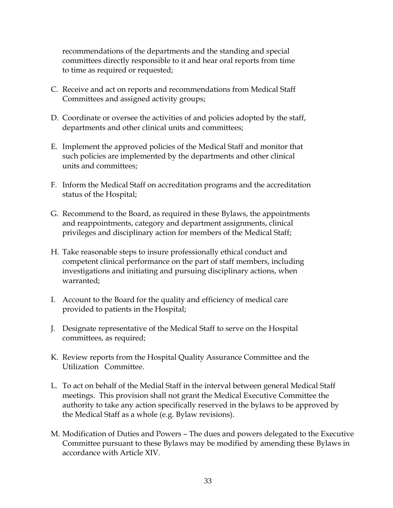recommendations of the departments and the standing and special committees directly responsible to it and hear oral reports from time to time as required or requested;

- C. Receive and act on reports and recommendations from Medical Staff Committees and assigned activity groups;
- D. Coordinate or oversee the activities of and policies adopted by the staff, departments and other clinical units and committees;
- E. Implement the approved policies of the Medical Staff and monitor that such policies are implemented by the departments and other clinical units and committees;
- F. Inform the Medical Staff on accreditation programs and the accreditation status of the Hospital;
- G. Recommend to the Board, as required in these Bylaws, the appointments and reappointments, category and department assignments, clinical privileges and disciplinary action for members of the Medical Staff;
- H. Take reasonable steps to insure professionally ethical conduct and competent clinical performance on the part of staff members, including investigations and initiating and pursuing disciplinary actions, when warranted;
- I. Account to the Board for the quality and efficiency of medical care provided to patients in the Hospital;
- J. Designate representative of the Medical Staff to serve on the Hospital committees, as required;
- K. Review reports from the Hospital Quality Assurance Committee and the Utilization Committee.
- L. To act on behalf of the Medial Staff in the interval between general Medical Staff meetings. This provision shall not grant the Medical Executive Committee the authority to take any action specifically reserved in the bylaws to be approved by the Medical Staff as a whole (e.g. Bylaw revisions).
- M. Modification of Duties and Powers The dues and powers delegated to the Executive Committee pursuant to these Bylaws may be modified by amending these Bylaws in accordance with Article XIV.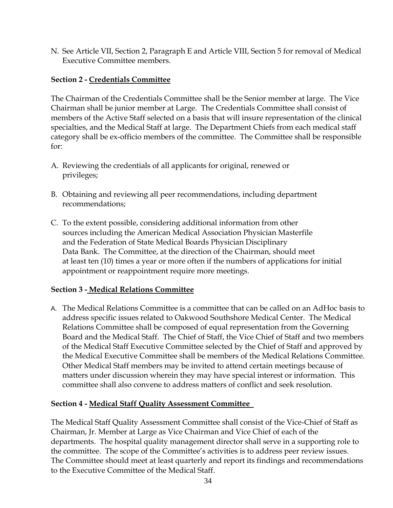N. See Article VII, Section 2, Paragraph E and Article VIII, Section 5 for removal of Medical Executive Committee members.

# **Section 2 - Credentials Committee**

The Chairman of the Credentials Committee shall be the Senior member at large. The Vice Chairman shall be junior member at Large. The Credentials Committee shall consist of members of the Active Staff selected on a basis that will insure representation of the clinical specialties, and the Medical Staff at large. The Department Chiefs from each medical staff category shall be ex-officio members of the committee. The Committee shall be responsible for:

- A. Reviewing the credentials of all applicants for original, renewed or privileges;
- B. Obtaining and reviewing all peer recommendations, including department recommendations;
- C. To the extent possible, considering additional information from other sources including the American Medical Association Physician Masterfile and the Federation of State Medical Boards Physician Disciplinary Data Bank. The Committee, at the direction of the Chairman, should meet at least ten (10) times a year or more often if the numbers of applications for initial appointment or reappointment require more meetings.

# **Section 3 - Medical Relations Committee**

A. The Medical Relations Committee is a committee that can be called on an AdHoc basis to address specific issues related to Oakwood Southshore Medical Center. The Medical Relations Committee shall be composed of equal representation from the Governing Board and the Medical Staff. The Chief of Staff, the Vice Chief of Staff and two members of the Medical Staff Executive Committee selected by the Chief of Staff and approved by the Medical Executive Committee shall be members of the Medical Relations Committee. Other Medical Staff members may be invited to attend certain meetings because of matters under discussion wherein they may have special interest or information. This committee shall also convene to address matters of conflict and seek resolution.

#### **Section 4 - Medical Staff Quality Assessment Committee**

The Medical Staff Quality Assessment Committee shall consist of the Vice-Chief of Staff as Chairman, Jr. Member at Large as Vice Chairman and Vice Chief of each of the departments. The hospital quality management director shall serve in a supporting role to the committee. The scope of the Committee's activities is to address peer review issues. The Committee should meet at least quarterly and report its findings and recommendations to the Executive Committee of the Medical Staff.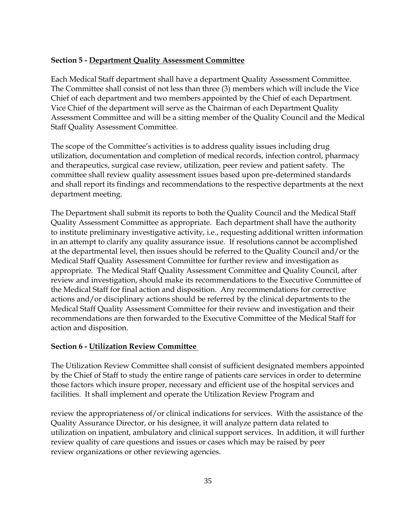# **Section 5 - Department Quality Assessment Committee**

Each Medical Staff department shall have a department Quality Assessment Committee. The Committee shall consist of not less than three (3) members which will include the Vice Chief of each department and two members appointed by the Chief of each Department. Vice Chief of the department will serve as the Chairman of each Department Quality Assessment Committee and will be a sitting member of the Quality Council and the Medical Staff Quality Assessment Committee.

The scope of the Committee's activities is to address quality issues including drug utilization, documentation and completion of medical records, infection control, pharmacy and therapeutics, surgical case review, utilization, peer review and patient safety. The committee shall review quality assessment issues based upon pre-determined standards and shall report its findings and recommendations to the respective departments at the next department meeting.

The Department shall submit its reports to both the Quality Council and the Medical Staff Quality Assessment Committee as appropriate. Each department shall have the authority to institute preliminary investigative activity, i.e., requesting additional written information in an attempt to clarify any quality assurance issue. If resolutions cannot be accomplished at the departmental level, then issues should be referred to the Quality Council and/or the Medical Staff Quality Assessment Committee for further review and investigation as appropriate. The Medical Staff Quality Assessment Committee and Quality Council, after review and investigation, should make its recommendations to the Executive Committee of the Medical Staff for final action and disposition. Any recommendations for corrective actions and/or disciplinary actions should be referred by the clinical departments to the Medical Staff Quality Assessment Committee for their review and investigation and their recommendations are then forwarded to the Executive Committee of the Medical Staff for action and disposition.

#### **Section 6 - Utilization Review Committee**

The Utilization Review Committee shall consist of sufficient designated members appointed by the Chief of Staff to study the entire range of patients care services in order to determine those factors which insure proper, necessary and efficient use of the hospital services and facilities. It shall implement and operate the Utilization Review Program and

review the appropriateness of/or clinical indications for services. With the assistance of the Quality Assurance Director, or his designee, it will analyze pattern data related to utilization on inpatient, ambulatory and clinical support services. In addition, it will further review quality of care questions and issues or cases which may be raised by peer review organizations or other reviewing agencies.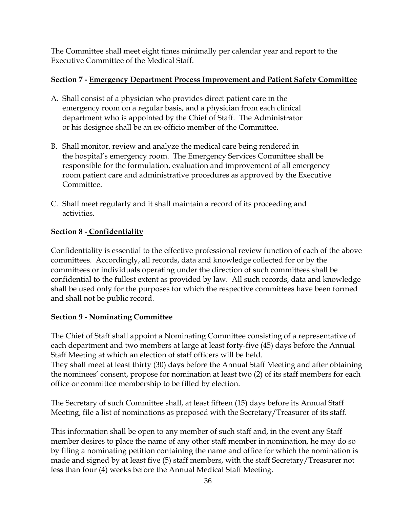The Committee shall meet eight times minimally per calendar year and report to the Executive Committee of the Medical Staff.

# **Section 7 - Emergency Department Process Improvement and Patient Safety Committee**

- A. Shall consist of a physician who provides direct patient care in the emergency room on a regular basis, and a physician from each clinical department who is appointed by the Chief of Staff. The Administrator or his designee shall be an ex-officio member of the Committee.
- B. Shall monitor, review and analyze the medical care being rendered in the hospital's emergency room. The Emergency Services Committee shall be responsible for the formulation, evaluation and improvement of all emergency room patient care and administrative procedures as approved by the Executive Committee.
- C. Shall meet regularly and it shall maintain a record of its proceeding and activities.

# **Section 8 - Confidentiality**

Confidentiality is essential to the effective professional review function of each of the above committees. Accordingly, all records, data and knowledge collected for or by the committees or individuals operating under the direction of such committees shall be confidential to the fullest extent as provided by law. All such records, data and knowledge shall be used only for the purposes for which the respective committees have been formed and shall not be public record.

# **Section 9 - Nominating Committee**

The Chief of Staff shall appoint a Nominating Committee consisting of a representative of each department and two members at large at least forty-five (45) days before the Annual Staff Meeting at which an election of staff officers will be held.

They shall meet at least thirty (30) days before the Annual Staff Meeting and after obtaining the nominees' consent, propose for nomination at least two (2) of its staff members for each office or committee membership to be filled by election.

The Secretary of such Committee shall, at least fifteen (15) days before its Annual Staff Meeting, file a list of nominations as proposed with the Secretary/Treasurer of its staff.

This information shall be open to any member of such staff and, in the event any Staff member desires to place the name of any other staff member in nomination, he may do so by filing a nominating petition containing the name and office for which the nomination is made and signed by at least five (5) staff members, with the staff Secretary/Treasurer not less than four (4) weeks before the Annual Medical Staff Meeting.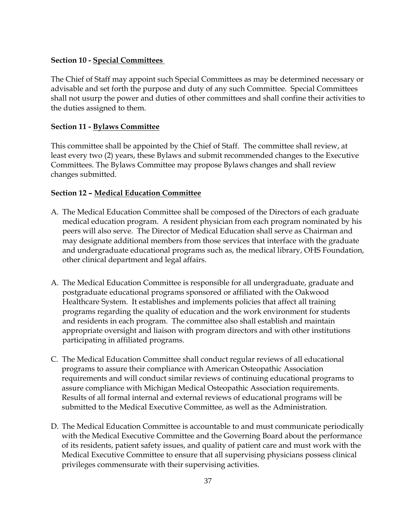# **Section 10 - Special Committees**

The Chief of Staff may appoint such Special Committees as may be determined necessary or advisable and set forth the purpose and duty of any such Committee. Special Committees shall not usurp the power and duties of other committees and shall confine their activities to the duties assigned to them.

# **Section 11 - Bylaws Committee**

This committee shall be appointed by the Chief of Staff. The committee shall review, at least every two (2) years, these Bylaws and submit recommended changes to the Executive Committees. The Bylaws Committee may propose Bylaws changes and shall review changes submitted.

# **Section 12 – Medical Education Committee**

- A. The Medical Education Committee shall be composed of the Directors of each graduate medical education program. A resident physician from each program nominated by his peers will also serve. The Director of Medical Education shall serve as Chairman and may designate additional members from those services that interface with the graduate and undergraduate educational programs such as, the medical library, OHS Foundation, other clinical department and legal affairs.
- A. The Medical Education Committee is responsible for all undergraduate, graduate and postgraduate educational programs sponsored or affiliated with the Oakwood Healthcare System. It establishes and implements policies that affect all training programs regarding the quality of education and the work environment for students and residents in each program. The committee also shall establish and maintain appropriate oversight and liaison with program directors and with other institutions participating in affiliated programs.
- C. The Medical Education Committee shall conduct regular reviews of all educational programs to assure their compliance with American Osteopathic Association requirements and will conduct similar reviews of continuing educational programs to assure compliance with Michigan Medical Osteopathic Association requirements. Results of all formal internal and external reviews of educational programs will be submitted to the Medical Executive Committee, as well as the Administration.
- D. The Medical Education Committee is accountable to and must communicate periodically with the Medical Executive Committee and the Governing Board about the performance of its residents, patient safety issues, and quality of patient care and must work with the Medical Executive Committee to ensure that all supervising physicians possess clinical privileges commensurate with their supervising activities.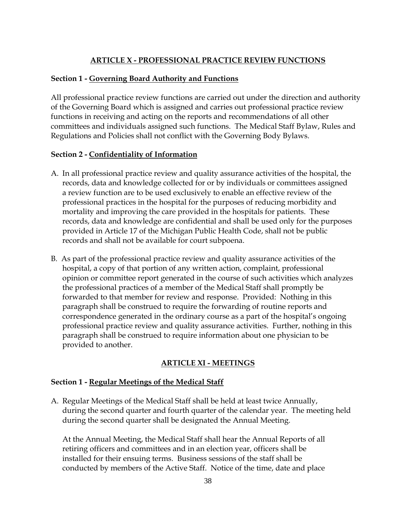# **ARTICLE X - PROFESSIONAL PRACTICE REVIEW FUNCTIONS**

#### **Section 1 - Governing Board Authority and Functions**

All professional practice review functions are carried out under the direction and authority of the Governing Board which is assigned and carries out professional practice review functions in receiving and acting on the reports and recommendations of all other committees and individuals assigned such functions. The Medical Staff Bylaw, Rules and Regulations and Policies shall not conflict with the Governing Body Bylaws.

#### **Section 2 - Confidentiality of Information**

- A. In all professional practice review and quality assurance activities of the hospital, the records, data and knowledge collected for or by individuals or committees assigned a review function are to be used exclusively to enable an effective review of the professional practices in the hospital for the purposes of reducing morbidity and mortality and improving the care provided in the hospitals for patients. These records, data and knowledge are confidential and shall be used only for the purposes provided in Article 17 of the Michigan Public Health Code, shall not be public records and shall not be available for court subpoena.
- B. As part of the professional practice review and quality assurance activities of the hospital, a copy of that portion of any written action, complaint, professional opinion or committee report generated in the course of such activities which analyzes the professional practices of a member of the Medical Staff shall promptly be forwarded to that member for review and response. Provided: Nothing in this paragraph shall be construed to require the forwarding of routine reports and correspondence generated in the ordinary course as a part of the hospital's ongoing professional practice review and quality assurance activities. Further, nothing in this paragraph shall be construed to require information about one physician to be provided to another.

# **ARTICLE XI - MEETINGS**

#### **Section 1 - Regular Meetings of the Medical Staff**

A. Regular Meetings of the Medical Staff shall be held at least twice Annually, during the second quarter and fourth quarter of the calendar year. The meeting held during the second quarter shall be designated the Annual Meeting.

 At the Annual Meeting, the Medical Staff shall hear the Annual Reports of all retiring officers and committees and in an election year, officers shall be installed for their ensuing terms. Business sessions of the staff shall be conducted by members of the Active Staff. Notice of the time, date and place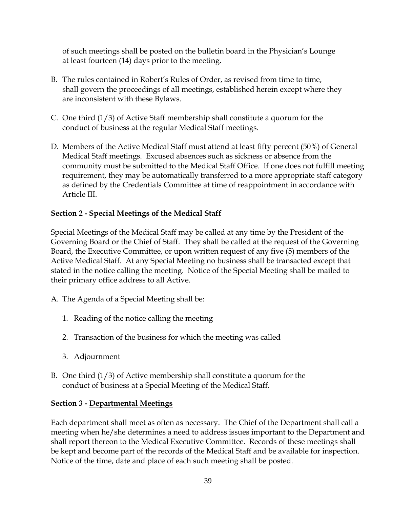of such meetings shall be posted on the bulletin board in the Physician's Lounge at least fourteen (14) days prior to the meeting.

- B. The rules contained in Robert's Rules of Order, as revised from time to time, shall govern the proceedings of all meetings, established herein except where they are inconsistent with these Bylaws.
- C. One third (1/3) of Active Staff membership shall constitute a quorum for the conduct of business at the regular Medical Staff meetings.
- D. Members of the Active Medical Staff must attend at least fifty percent (50%) of General Medical Staff meetings. Excused absences such as sickness or absence from the community must be submitted to the Medical Staff Office. If one does not fulfill meeting requirement, they may be automatically transferred to a more appropriate staff category as defined by the Credentials Committee at time of reappointment in accordance with Article III.

# **Section 2 - Special Meetings of the Medical Staff**

Special Meetings of the Medical Staff may be called at any time by the President of the Governing Board or the Chief of Staff. They shall be called at the request of the Governing Board, the Executive Committee, or upon written request of any five (5) members of the Active Medical Staff. At any Special Meeting no business shall be transacted except that stated in the notice calling the meeting. Notice of the Special Meeting shall be mailed to their primary office address to all Active.

- A. The Agenda of a Special Meeting shall be:
	- 1. Reading of the notice calling the meeting
	- 2. Transaction of the business for which the meeting was called
	- 3. Adjournment
- B. One third (1/3) of Active membership shall constitute a quorum for the conduct of business at a Special Meeting of the Medical Staff.

#### **Section 3 - Departmental Meetings**

Each department shall meet as often as necessary. The Chief of the Department shall call a meeting when he/she determines a need to address issues important to the Department and shall report thereon to the Medical Executive Committee. Records of these meetings shall be kept and become part of the records of the Medical Staff and be available for inspection. Notice of the time, date and place of each such meeting shall be posted.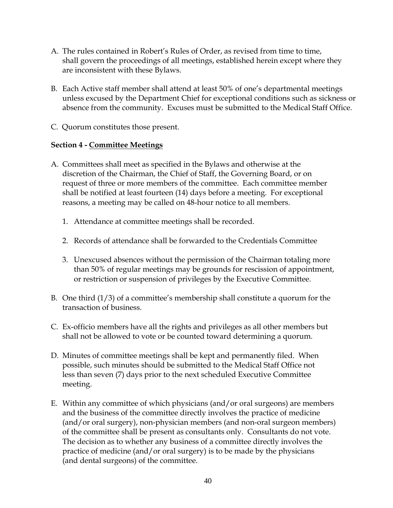- A. The rules contained in Robert's Rules of Order, as revised from time to time, shall govern the proceedings of all meetings, established herein except where they are inconsistent with these Bylaws.
- B. Each Active staff member shall attend at least 50% of one's departmental meetings unless excused by the Department Chief for exceptional conditions such as sickness or absence from the community. Excuses must be submitted to the Medical Staff Office.
- C. Quorum constitutes those present.

#### **Section 4 - Committee Meetings**

- A. Committees shall meet as specified in the Bylaws and otherwise at the discretion of the Chairman, the Chief of Staff, the Governing Board, or on request of three or more members of the committee. Each committee member shall be notified at least fourteen (14) days before a meeting. For exceptional reasons, a meeting may be called on 48-hour notice to all members.
	- 1. Attendance at committee meetings shall be recorded.
	- 2. Records of attendance shall be forwarded to the Credentials Committee
	- 3. Unexcused absences without the permission of the Chairman totaling more than 50% of regular meetings may be grounds for rescission of appointment, or restriction or suspension of privileges by the Executive Committee.
- B. One third (1/3) of a committee's membership shall constitute a quorum for the transaction of business.
- C. Ex-officio members have all the rights and privileges as all other members but shall not be allowed to vote or be counted toward determining a quorum.
- D. Minutes of committee meetings shall be kept and permanently filed. When possible, such minutes should be submitted to the Medical Staff Office not less than seven (7) days prior to the next scheduled Executive Committee meeting.
- E. Within any committee of which physicians (and/or oral surgeons) are members and the business of the committee directly involves the practice of medicine (and/or oral surgery), non-physician members (and non-oral surgeon members) of the committee shall be present as consultants only. Consultants do not vote. The decision as to whether any business of a committee directly involves the practice of medicine (and/or oral surgery) is to be made by the physicians (and dental surgeons) of the committee.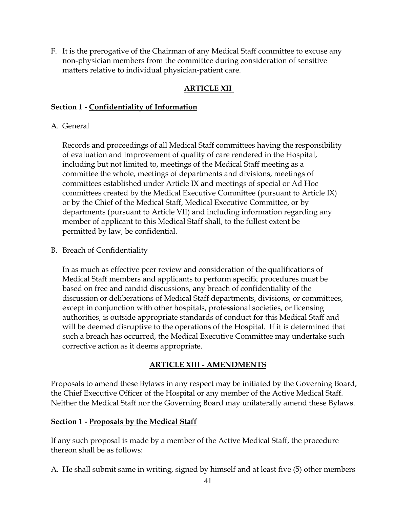F. It is the prerogative of the Chairman of any Medical Staff committee to excuse any non-physician members from the committee during consideration of sensitive matters relative to individual physician-patient care.

# **ARTICLE XII**

#### **Section 1 - Confidentiality of Information**

# A. General

 Records and proceedings of all Medical Staff committees having the responsibility of evaluation and improvement of quality of care rendered in the Hospital, including but not limited to, meetings of the Medical Staff meeting as a committee the whole, meetings of departments and divisions, meetings of committees established under Article IX and meetings of special or Ad Hoc committees created by the Medical Executive Committee (pursuant to Article IX) or by the Chief of the Medical Staff, Medical Executive Committee, or by departments (pursuant to Article VII) and including information regarding any member of applicant to this Medical Staff shall, to the fullest extent be permitted by law, be confidential.

B. Breach of Confidentiality

 In as much as effective peer review and consideration of the qualifications of Medical Staff members and applicants to perform specific procedures must be based on free and candid discussions, any breach of confidentiality of the discussion or deliberations of Medical Staff departments, divisions, or committees, except in conjunction with other hospitals, professional societies, or licensing authorities, is outside appropriate standards of conduct for this Medical Staff and will be deemed disruptive to the operations of the Hospital. If it is determined that such a breach has occurred, the Medical Executive Committee may undertake such corrective action as it deems appropriate.

# **ARTICLE XIII - AMENDMENTS**

Proposals to amend these Bylaws in any respect may be initiated by the Governing Board, the Chief Executive Officer of the Hospital or any member of the Active Medical Staff. Neither the Medical Staff nor the Governing Board may unilaterally amend these Bylaws.

#### **Section 1 - Proposals by the Medical Staff**

If any such proposal is made by a member of the Active Medical Staff, the procedure thereon shall be as follows:

A. He shall submit same in writing, signed by himself and at least five (5) other members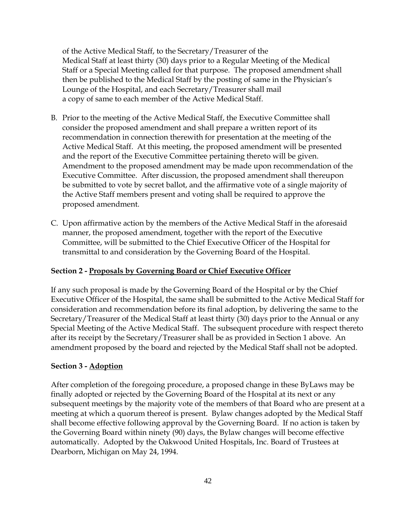of the Active Medical Staff, to the Secretary/Treasurer of the Medical Staff at least thirty (30) days prior to a Regular Meeting of the Medical Staff or a Special Meeting called for that purpose. The proposed amendment shall then be published to the Medical Staff by the posting of same in the Physician's Lounge of the Hospital, and each Secretary/Treasurer shall mail a copy of same to each member of the Active Medical Staff.

- B. Prior to the meeting of the Active Medical Staff, the Executive Committee shall consider the proposed amendment and shall prepare a written report of its recommendation in connection therewith for presentation at the meeting of the Active Medical Staff. At this meeting, the proposed amendment will be presented and the report of the Executive Committee pertaining thereto will be given. Amendment to the proposed amendment may be made upon recommendation of the Executive Committee. After discussion, the proposed amendment shall thereupon be submitted to vote by secret ballot, and the affirmative vote of a single majority of the Active Staff members present and voting shall be required to approve the proposed amendment.
- C. Upon affirmative action by the members of the Active Medical Staff in the aforesaid manner, the proposed amendment, together with the report of the Executive Committee, will be submitted to the Chief Executive Officer of the Hospital for transmittal to and consideration by the Governing Board of the Hospital.

#### **Section 2 - Proposals by Governing Board or Chief Executive Officer**

If any such proposal is made by the Governing Board of the Hospital or by the Chief Executive Officer of the Hospital, the same shall be submitted to the Active Medical Staff for consideration and recommendation before its final adoption, by delivering the same to the Secretary/Treasurer of the Medical Staff at least thirty (30) days prior to the Annual or any Special Meeting of the Active Medical Staff. The subsequent procedure with respect thereto after its receipt by the Secretary/Treasurer shall be as provided in Section 1 above. An amendment proposed by the board and rejected by the Medical Staff shall not be adopted.

#### **Section 3 - Adoption**

After completion of the foregoing procedure, a proposed change in these ByLaws may be finally adopted or rejected by the Governing Board of the Hospital at its next or any subsequent meetings by the majority vote of the members of that Board who are present at a meeting at which a quorum thereof is present. Bylaw changes adopted by the Medical Staff shall become effective following approval by the Governing Board. If no action is taken by the Governing Board within ninety (90) days, the Bylaw changes will become effective automatically. Adopted by the Oakwood United Hospitals, Inc. Board of Trustees at Dearborn, Michigan on May 24, 1994.